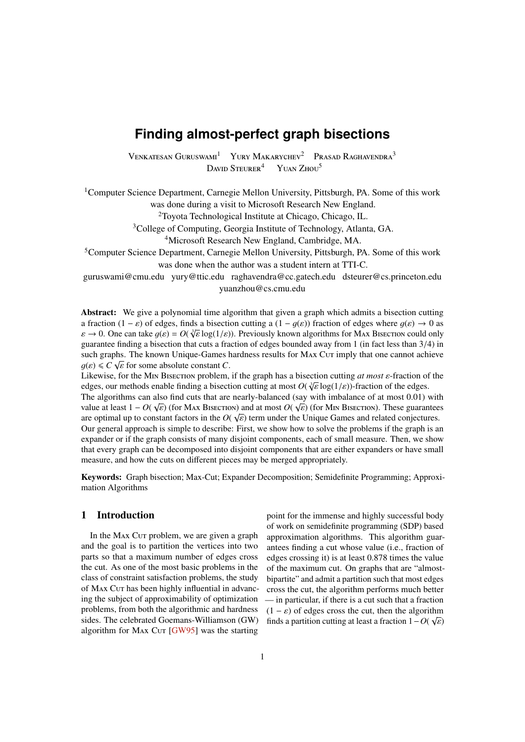# <span id="page-0-0"></span>**Finding almost-perfect graph bisections**

VENKATESAN GURUSWAMI<sup>1</sup> YURY MAKARYCHEV<sup>2</sup> PRASAD RAGHAVENDRA<sup>3</sup> DAVID STEURER<sup>4</sup> YUAN ZHOU<sup>5</sup>

<sup>1</sup>Computer Science Department, Carnegie Mellon University, Pittsburgh, PA. Some of this work was done during a visit to Microsoft Research New England.

<sup>2</sup>Toyota Technological Institute at Chicago, Chicago, IL.

<sup>3</sup>College of Computing, Georgia Institute of Technology, Atlanta, GA.

<sup>4</sup>Microsoft Research New England, Cambridge, MA.

<sup>5</sup>Computer Science Department, Carnegie Mellon University, Pittsburgh, PA. Some of this work was done when the author was a student intern at TTI-C.

guruswami@cmu.edu yury@ttic.edu raghavendra@cc.gatech.edu dsteurer@cs.princeton.edu yuanzhou@cs.cmu.edu

Abstract: We give a polynomial time algorithm that given a graph which admits a bisection cutting a fraction  $(1 - \varepsilon)$  of edges, finds a bisection cutting a  $(1 - q(\varepsilon))$  fraction of edges where  $q(\varepsilon) \to 0$  as a fraction  $(1 - \varepsilon)$  of edges, finds a bisection cutting a  $(1 - g(\varepsilon))$  fraction of edges where  $g(\varepsilon) \to 0$  as<br>  $\varepsilon \to 0$ . One can take  $g(\varepsilon) = O(\sqrt[3]{\varepsilon} \log(1/\varepsilon))$ . Previously known algorithms for MAX Bisection could o guarantee finding a bisection that cuts a fraction of edges bounded away from <sup>1</sup> (in fact less than <sup>3</sup>/4) in such graphs. The known Unique-Games hardness results for MAx Cur imply that one cannot achieve  $g(\varepsilon) \leq C \sqrt{\varepsilon}$  for some absolute constant *C*.<br>Likewise for the M<sub>IN</sub> RISECTION problem

Likewise, for the <sup>M</sup>in <sup>B</sup>isection problem, if the graph has a bisection cutting *at most* ε-fraction of the Likewise, for the MIN Bisection problem, if the graph has a bisection cutting *at most* ε-fraction of deedges, our methods enable finding a bisection cutting at most *O*( $\sqrt[3]{\epsilon}$  log(1/ε))-fraction of the edges.<br>The a The algorithms can also find cuts that are nearly-balanced (say with imbalance of at most 0.01) with value at least  $1 - O(\sqrt{\epsilon})$  (for May BISECTION) and at most  $O(\sqrt{\epsilon})$  (for MIN BISECTION). These quarantees

value at least  $1 - O(\sqrt{\varepsilon})$  (for Max Bisection) and at most  $O(\sqrt{\varepsilon})$  (for Min Bisection). These guarantees are ontimal up to constant factors in the  $O(\sqrt{\varepsilon})$  term under the Unique Games and related conjectures are optimal up to constant factors in the  $O(\sqrt{\varepsilon})$  term under the Unique Games and related conjectures.<br>Our general approach is simple to describe: First, we show how to solve the problems if the graph is a Our general approach is simple to describe: First, we show how to solve the problems if the graph is an expander or if the graph consists of many disjoint components, each of small measure. Then, we show that every graph can be decomposed into disjoint components that are either expanders or have small measure, and how the cuts on different pieces may be merged appropriately.

Keywords: Graph bisection; Max-Cut; Expander Decomposition; Semidefinite Programming; Approximation Algorithms

# 1 Introduction

In the MAX Cut problem, we are given a graph and the goal is to partition the vertices into two parts so that a maximum number of edges cross the cut. As one of the most basic problems in the class of constraint satisfaction problems, the study of Max Cut has been highly influential in advancing the subject of approximability of optimization problems, from both the algorithmic and hardness sides. The celebrated Goemans-Williamson (GW) algorithm for MAX Cur  $[GW95]$  was the starting

point for the immense and highly successful body of work on semidefinite programming (SDP) based approximation algorithms. This algorithm guarantees finding a cut whose value (i.e., fraction of edges crossing it) is at least <sup>0</sup>.<sup>878</sup> times the value of the maximum cut. On graphs that are "almostbipartite" and admit a partition such that most edges cross the cut, the algorithm performs much better — in particular, if there is a cut such that a fraction  $(1 - \varepsilon)$  of edges cross the cut, then the algorithm<br>finds a partition cutting at least a fraction  $1 - \Omega(x)$ finds a partition cutting at least a fraction  $1 - O(\sqrt{\varepsilon})$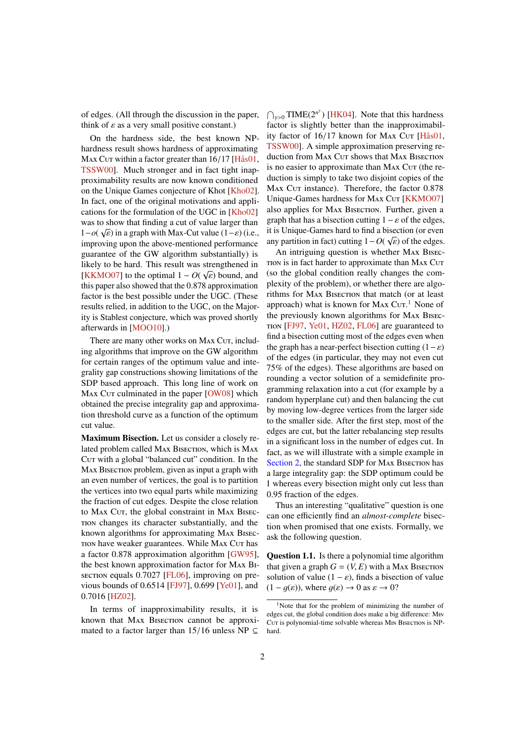<span id="page-1-1"></span>of edges. (All through the discussion in the paper, think of  $\varepsilon$  as a very small positive constant.)

On the hardness side, the best known NPhardness result shows hardness of approximating Max Cut within a factor greater than  $16/17$  [H $\text{\AA}$ s01, [TSSW00\]](#page-17-0). Much stronger and in fact tight inapproximability results are now known conditioned on the Unique Games conjecture of Khot [\[Kho02\]](#page-16-2). In fact, one of the original motivations and applications for the formulation of the UGC in [\[Kho02\]](#page-16-2) was to show that finding a cut of value larger than 1−*o*( $\sqrt{\varepsilon}$ ) in a graph with Max-Cut value (1− $\varepsilon$ ) (i.e., improving upon the above-mentioned performance improving upon the above-mentioned performance guarantee of the GW algorithm substantially) is likely to be hard. This result was strengthened in EXECTED THE OPTIMAL THIS LESSING WAS STRENGLED IN THE SECTED UP OF  $\sqrt{\varepsilon}$  bound, and this paper also showed that the 0.878 approximation this paper also showed that the <sup>0</sup>.<sup>878</sup> approximation factor is the best possible under the UGC. (These results relied, in addition to the UGC, on the Majority is Stablest conjecture, which was proved shortly afterwards in [\[MOO10\]](#page-16-4).)

There are many other works on MAX Cut, including algorithms that improve on the GW algorithm for certain ranges of the optimum value and integrality gap constructions showing limitations of the SDP based approach. This long line of work on Max Cur culminated in the paper [\[OW08\]](#page-17-1) which obtained the precise integrality gap and approximation threshold curve as a function of the optimum cut value.

Maximum Bisection. Let us consider a closely related problem called MAX BISECTION, which is MAX Cut with a global "balanced cut" condition. In the MAX BISECTION problem, given as input a graph with an even number of vertices, the goal is to partition the vertices into two equal parts while maximizing the fraction of cut edges. Despite the close relation to MAX Cut, the global constraint in MAX BISECtion changes its character substantially, and the known algorithms for approximating Max Bisection have weaker guarantees. While Max Cut has a factor <sup>0</sup>.<sup>878</sup> approximation algorithm [\[GW95\]](#page-16-0), the best known approximation factor for Max Bisection equals  $0.7027$  [\[FL06\]](#page-16-5), improving on previous bounds of <sup>0</sup>.<sup>6514</sup> [\[FJ97\]](#page-16-6), <sup>0</sup>.<sup>699</sup> [\[Ye01\]](#page-17-2), and <sup>0</sup>.7016 [\[HZ02\]](#page-16-7).

In terms of inapproximability results, it is known that MAX BISECTION cannot be approximated to a factor larger than 15/16 unless NP  $\subseteq$ 

 $\bigcap_{\gamma>0}$  TIME(2<sup>*n*'</sup>) [\[HK04\]](#page-16-8). Note that this hardness factor is slightly better than the inapproximability factor of  $16/17$  known for MAX Cut [Hås $01$ , [TSSW00\]](#page-17-0). A simple approximation preserving reduction from MAX Cut shows that MAX BISECTION is no easier to approximate than MAX Cut (the reduction is simply to take two disjoint copies of the Max Cur instance). Therefore, the factor 0.878 Unique-Games hardness for MAX Cut [\[KKMO07\]](#page-16-3) also applies for MAX BISECTION. Further, given a graph that has a bisection cutting  $1 - \varepsilon$  of the edges, it is Unique-Games hard to find a bisection (or even any partition in fact) cutting  $1 - O(\sqrt{\varepsilon})$  of the edges.<br>An intriguing question is whether  $M_{\rm A}$ <sup>N</sup> RISEC

An intriguing question is whether Max Bisection is in fact harder to approximate than MAX Cut (so the global condition really changes the complexity of the problem), or whether there are algorithms for MAX BISECTION that match (or at least approach) what is known for MAX Cut.<sup>[1](#page-1-0)</sup> None of the previously known algorithms for Max Bisection [\[FJ97,](#page-16-6) [Ye01,](#page-17-2) [HZ02,](#page-16-7) [FL06\]](#page-16-5) are guaranteed to find a bisection cutting most of the edges even when the graph has a near-perfect bisection cutting  $(1-\varepsilon)$ of the edges (in particular, they may not even cut 75% of the edges). These algorithms are based on rounding a vector solution of a semidefinite programming relaxation into a cut (for example by a random hyperplane cut) and then balancing the cut by moving low-degree vertices from the larger side to the smaller side. After the first step, most of the edges are cut, but the latter rebalancing step results in a significant loss in the number of edges cut. In fact, as we will illustrate with a simple example in [Section 2,](#page-2-0) the standard SDP for MAX BISECTION has a large integrality gap: the SDP optimum could be 1 whereas every bisection might only cut less than <sup>0</sup>.95 fraction of the edges.

Thus an interesting "qualitative" question is one can one efficiently find an *almost-complete* bisection when promised that one exists. Formally, we ask the following question.

Question 1.1. Is there a polynomial time algorithm that given a graph  $G = (V, E)$  with a MAX BISECTION solution of value  $(1 - \varepsilon)$ , finds a bisection of value  $(1 - q(\varepsilon))$ , where  $q(\varepsilon) \to 0$  as  $\varepsilon \to 0$ ?

<span id="page-1-0"></span><sup>&</sup>lt;sup>1</sup>Note that for the problem of minimizing the number of edges cut, the global condition does make a big difference: Min Cut is polynomial-time solvable whereas M<sub>IN</sub> BISECTION is NPhard.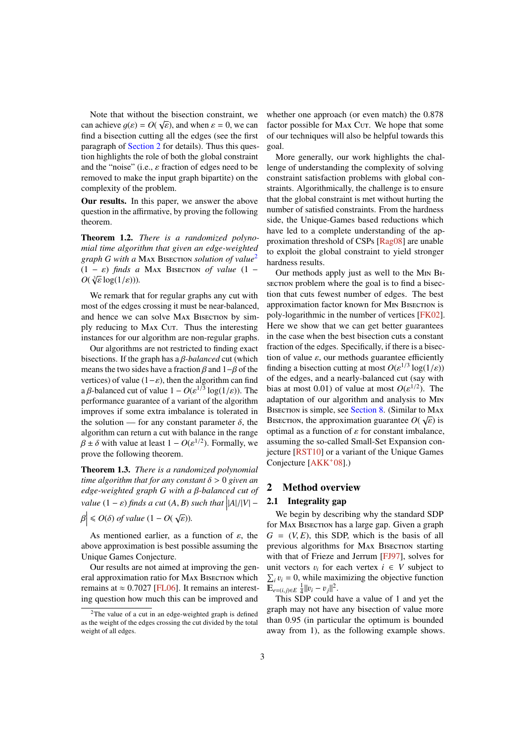<span id="page-2-4"></span>Note that without the bisection constraint, we can achieve  $g(\varepsilon) = O(\sqrt{\varepsilon})$ , and when  $\varepsilon = 0$ , we can<br>find a bisection cutting all the edges (see the first find a bisection cutting all the edges (see the first paragraph of [Section 2](#page-2-0) for details). Thus this question highlights the role of both the global constraint and the "noise" (i.e.,  $\varepsilon$  fraction of edges need to be removed to make the input graph bipartite) on the complexity of the problem.

Our results. In this paper, we answer the above question in the affirmative, by proving the following theorem.

<span id="page-2-3"></span>Theorem 1.2. *There is a randomized polynomial time algorithm that given an edge-weighted graph G with a* Max Bisection *solution of value*[2](#page-2-1)  $(1 - \varepsilon)$  *finds a* MAX BISECTION *of value*  $(1 - \varepsilon)$  $O(\sqrt[3]{\varepsilon} \log(1/\varepsilon))$ ).

We remark that for regular graphs any cut with most of the edges crossing it must be near-balanced, and hence we can solve MAX BISECTION by simply reducing to MAX Cut. Thus the interesting instances for our algorithm are non-regular graphs.

Our algorithms are not restricted to finding exact bisections. If the graph has a β*-balanced* cut (which means the two sides have a fraction  $\beta$  and 1– $\beta$  of the vertices) of value  $(1-\varepsilon)$ , then the algorithm can find a β-balanced cut of value  $1 - O(\varepsilon^{1/3} \log(1/\varepsilon))$ . The performance quarantee of a variant of the algorithm performance guarantee of a variant of the algorithm improves if some extra imbalance is tolerated in the solution — for any constant parameter  $\delta$ , the algorithm can return a cut with balance in the range  $\beta \pm \delta$  with value at least  $1 - O(\varepsilon^{1/2})$ . Formally, we prove the following theorem prove the following theorem.

<span id="page-2-2"></span>Theorem 1.3. *There is a randomized polynomial time algorithm that for any constant* δ > <sup>0</sup> *given an edge-weighted graph <sup>G</sup> with a* β*-balanced cut of value*  $(1 - \varepsilon)$  *finds a cut*  $(A, B)$  *such that*  $\left| |A|/|V| - \right|$ 

$$
\beta \Big| \le O(\delta) \text{ of value } (1 - O(\sqrt{\varepsilon})).
$$

As mentioned earlier, as a function of  $\varepsilon$ , the above approximation is best possible assuming the Unique Games Conjecture.

Our results are not aimed at improving the general approximation ratio for MAX BISECTION which remains at  $\approx 0.7027$  [\[FL06\]](#page-16-5). It remains an interesting question how much this can be improved and

whether one approach (or even match) the <sup>0</sup>.<sup>878</sup> factor possible for MAX Cut. We hope that some of our techniques will also be helpful towards this goal.

More generally, our work highlights the challenge of understanding the complexity of solving constraint satisfaction problems with global constraints. Algorithmically, the challenge is to ensure that the global constraint is met without hurting the number of satisfied constraints. From the hardness side, the Unique-Games based reductions which have led to a complete understanding of the approximation threshold of CSPs [\[Rag08\]](#page-17-3) are unable to exploit the global constraint to yield stronger hardness results.

Our methods apply just as well to the Min Bisection problem where the goal is to find a bisection that cuts fewest number of edges. The best approximation factor known for Min Bisection is poly-logarithmic in the number of vertices [\[FK02\]](#page-16-9). Here we show that we can get better guarantees in the case when the best bisection cuts a constant fraction of the edges. Specifically, if there is a bisection of value  $\varepsilon$ , our methods guarantee efficiently finding a bisection cutting at most  $O(\varepsilon^{1/3} \log(1/\varepsilon))$ <br>of the edges, and a nearly-balanced cut (say with of the edges, and a nearly-balanced cut (say with bias at most  $0.01$ ) of value at most  $O(\epsilon^{1/2})$ . The adaptation of our algorithm and analysis to Min BISECTION is simple, see [Section 8.](#page-15-0) (Similar to MAX BISECTION, the approximation guarantee  $O(\sqrt{\varepsilon})$  is<br>optimal as a function of  $\varepsilon$  for constant imbalance optimal as a function of  $\varepsilon$  for constant imbalance, assuming the so-called Small-Set Expansion conjecture [\[RST10\]](#page-17-4) or a variant of the Unique Games Conjecture [\[AKK](#page-16-10)+08].)

# <span id="page-2-0"></span>2 Method overview

#### 2.1 Integrality gap

We begin by describing why the standard SDP for Max Bisection has a large gap. Given a graph  $G = (V, E)$ , this SDP, which is the basis of all previous algorithms for MAX BISECTION starting with that of Frieze and Jerrum [\[FJ97\]](#page-16-6), solves for unit vectors  $v_i$  for each vertex  $i \in V$  subject to  $\sum_i v_i = 0$ , while maximizing the objective function  $\mathbb{E}_{e=(i,j)\in E} \frac{1}{4} ||v_i - v_j||^2.$ <br>This SDP could b

This SDP could have a value of 1 and yet the graph may not have any bisection of value more than <sup>0</sup>.<sup>95</sup> (in particular the optimum is bounded away from 1), as the following example shows.

<span id="page-2-1"></span> $2$ The value of a cut in an edge-weighted graph is defined as the weight of the edges crossing the cut divided by the total weight of all edges.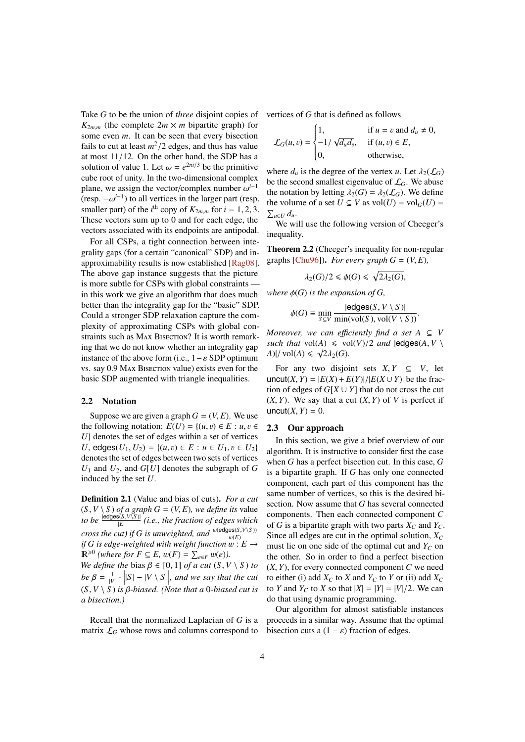<span id="page-3-1"></span>Take *G* to be the union of *three* disjoint copies of  $K_{2m,m}$  (the complete  $2m \times m$  bipartite graph) for some even *m*. It can be seen that every bisection fails to cut at least  $m^2/2$  edges, and thus has value<br>at most  $11/12$ . On the other hand, the SDP has a at most <sup>11</sup>/12. On the other hand, the SDP has a solution of value 1. Let  $\omega = e^{2\pi i/3}$  be the primitive<br>cube root of unity. In the two-dimensional complex cube root of unity. In the two-dimensional complex plane, we assign the vector/complex number  $\omega^{i-1}$ <br>(resp.  $-\omega^{i-1}$ ) to all vertices in the larger part (resp. (resp.  $-\omega^{i-1}$ ) to all vertices in the larger part (resp.<br>smaller part) of the *i*<sup>th</sup> copy of  $K_2$  for  $i = 1, 2, 3$ . smaller part) of the *i*<sup>th</sup> copy of  $K_{2m,m}$  for  $i = 1, 2, 3$ .<br>These vectors sum up to 0 and for each edge, the These vectors sum up to 0 and for each edge, the vectors associated with its endpoints are antipodal.

For all CSPs, a tight connection between integrality gaps (for a certain "canonical" SDP) and inapproximability results is now established [\[Rag08\]](#page-17-3). The above gap instance suggests that the picture is more subtle for CSPs with global constraints in this work we give an algorithm that does much better than the integrality gap for the "basic" SDP. Could a stronger SDP relaxation capture the complexity of approximating CSPs with global constraints such as MAX BISECTION? It is worth remarking that we do not know whether an integrality gap instance of the above form (i.e.,  $1 - \varepsilon$  SDP optimum vs. say <sup>0</sup>.<sup>9</sup> <sup>M</sup>ax <sup>B</sup>isection value) exists even for the basic SDP augmented with triangle inequalities.

#### 2.2 Notation

Suppose we are given a graph  $G = (V, E)$ . We use the following notation:  $E(U) = \{(u, v) \in E : u, v \in$ *U*} denotes the set of edges within a set of vertices *U*, edges( $U_1, U_2$ ) = { $(u, v) \in E : u \in U_1, v \in U_2$ } denotes the set of edges between two sets of vertices  $U_1$  and  $U_2$ , and  $G[U]$  denotes the subgraph of  $G$ induced by the set *U*.

Definition 2.1 (Value and bias of cuts). *For a cut*  $(S, V \setminus S)$  *of a graph*  $G = (V, E)$ *, we define its value to be*  $\frac{\text{edges}(S, V \setminus S)}{|E|}$  (*i.e., the fraction of edges which cross the cut) if G is unweighted, and*  $\frac{w(\text{edges}(S,V\setminus S))}{w(F)}$ w(*E*) *if G* is edge-weighted with weight function  $\overline{w}: E \rightarrow$  $\mathbb{R}^{\geq 0}$  (where for  $F \subseteq E$ ,  $w(F) = \sum_{e \in F} w(e)$ ).<br>We define the bias  $B \subseteq [0, 1]$  of a cut  $(S, V)$ 

*We define the* bias  $\beta \in [0, 1]$  *of a cut*  $(S, V \setminus S)$  *to*  $be \beta = \frac{1}{|V|} \cdot ||S| - |V \setminus S||$ , and we say that the cut  $(S, V \setminus S)$  *is β-biased.* (Note that a 0-biased cut is a bisection) *a bisection.)*

Recall that the normalized Laplacian of *G* is a matrix  $\mathcal{L}_G$  whose rows and columns correspond to vertices of *G* that is defined as follows

$$
\mathcal{L}_G(u, v) = \begin{cases} 1, & \text{if } u = v \text{ and } d_u \neq 0, \\ -1/\sqrt{d_u d_v}, & \text{if } (u, v) \in E, \\ 0, & \text{otherwise,} \end{cases}
$$

where  $d_u$  is the degree of the vertex *u*. Let  $\lambda_2(\mathcal{L}_G)$ be the second smallest eigenvalue of  $\mathcal{L}_G$ . We abuse the notation by letting  $\lambda_2(G) = \lambda_2(\mathcal{L}_G)$ . We define the volume of a set  $U \subseteq V$  as  $vol(U) = vol_G(U) =$  $\sum_{u \in U} d_u$ 

We will use the following version of Cheeger's inequality.

<span id="page-3-0"></span>Theorem 2.2 (Cheeger's inequality for non-regular graphs [\[Chu96\]](#page-16-11)). *For every graph*  $G = (V, E)$ *,* 

$$
\lambda_2(G)/2 \leq \phi(G) \leq \sqrt{2\lambda_2(G)},
$$

*where*  $\phi(G)$  *is the expansion of G*,

$$
\phi(G) \equiv \min_{S \subseteq V} \frac{|\text{edges}(S, V \setminus S)|}{\min(\text{vol}(S), \text{vol}(V \setminus S))}.
$$

 $\psi(\emptyset) = \frac{\sinh(\text{vol}(S), \text{vol}(V \setminus S))}{\sinh(\text{vol}(S), \text{vol}(V \setminus S))}$ <br>*Moreover, we can efficiently find a set*  $A \subseteq V$ *such that*  $vol(A) \le vol(V)/2$  *and*  $ledges(A, V \setminus A)/vol(A) \le \sqrt{2 \log(G)}$  $A$ )|/ vol( $A$ )  $\leq \sqrt{2\lambda_2(G)}$ .

For any two disjoint sets  $X, Y \subseteq V$ , let uncut(*X*, *Y*) =  $|E(X) + E(Y)|/|E(X \cup Y)|$  be the fraction of edges of  $G[X \cup Y]$  that do not cross the cut  $(X, Y)$ . We say that a cut  $(X, Y)$  of V is perfect if uncut $(X, Y) = 0$ .

#### 2.3 Our approach

In this section, we give a brief overview of our algorithm. It is instructive to consider first the case when *G* has a perfect bisection cut. In this case, *G* is a bipartite graph. If *G* has only one connected component, each part of this component has the same number of vertices, so this is the desired bisection. Now assume that *G* has several connected components. Then each connected component *C* of *G* is a bipartite graph with two parts  $X_C$  and  $Y_C$ . Since all edges are cut in the optimal solution,  $X_C$ must lie on one side of the optimal cut and  $Y_C$  on the other. So in order to find a perfect bisection  $(X, Y)$ , for every connected component  $C$  we need to either (i) add  $X_C$  to *X* and  $Y_C$  to *Y* or (ii) add  $X_C$ to *Y* and  $Y_C$  to *X* so that  $|X| = |Y| = |V|/2$ . We can do that using dynamic programming.

Our algorithm for almost satisfiable instances proceeds in a similar way. Assume that the optimal bisection cuts a  $(1 – \varepsilon)$  fraction of edges.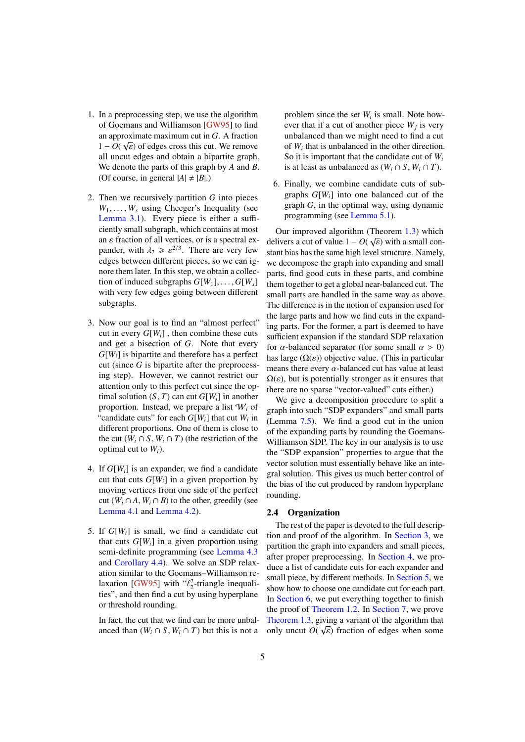- <span id="page-4-0"></span>1. In a preprocessing step, we use the algorithm of Goemans and Williamson [\[GW95\]](#page-16-0) to find an approximate maximum cut in *G*. A fraction √  $1 - O(\sqrt{\varepsilon})$  of edges cross this cut. We remove<br>all uncut edges and obtain a binartite graph all uncut edges and obtain a bipartite graph. We denote the parts of this graph by *A* and *B*. (Of course, in general  $|A| \neq |B|$ .)
- 2. Then we recursively partition *G* into pieces  $W_1, \ldots, W_s$  using Cheeger's Inequality (see [Lemma 3.1\)](#page-5-0). Every piece is either a sufficiently small subgraph, which contains at most an  $\varepsilon$  fraction of all vertices, or is a spectral expander, with  $\lambda_2 \geqslant \varepsilon^{2/3}$ . There are very few<br>edges between different pieces, so we can ig. edges between different pieces, so we can ignore them later. In this step, we obtain a collection of induced subgraphs  $G[W_1], \ldots, G[W_s]$ with very few edges going between different subgraphs.
- 3. Now our goal is to find an "almost perfect" cut in every *G*[*Wi*] , then combine these cuts and get a bisection of *G*. Note that every *G*[*Wi*] is bipartite and therefore has a perfect cut (since *G* is bipartite after the preprocessing step). However, we cannot restrict our attention only to this perfect cut since the optimal solution  $(S, T)$  can cut  $G[W_i]$  in another proportion. Instead, we prepare a list W*<sup>i</sup>* of "candidate cuts" for each  $G[W_i]$  that cut  $W_i$  in different proportions. One of them is close to the cut  $(W_i \cap S, W_i \cap T)$  (the restriction of the optimal cut to *Wi*).
- 4. If *G*[*Wi*] is an expander, we find a candidate cut that cuts  $G[W_i]$  in a given proportion by moving vertices from one side of the perfect cut  $(W_i \cap A, W_i \cap B)$  to the other, greedily (see [Lemma 4.1](#page-6-0) and [Lemma 4.2\)](#page-7-0).
- 5. If  $G[W_i]$  is small, we find a candidate cut that cuts  $G[W_i]$  in a given proportion using semi-definite programming (see [Lemma 4.3](#page-7-1) and [Corollary 4.4\)](#page-8-0). We solve an SDP relaxation similar to the Goemans–Williamson relaxation  $[GW95]$  with " $\ell_2^2$ -triangle inequali-<br>ties" and then find a cut by using hyperplane ties", and then find a cut by using hyperplane or threshold rounding.

In fact, the cut that we find can be more unbalanced than  $(W_i \cap S, W_i \cap T)$  but this is not a

problem since the set  $W_i$  is small. Note however that if a cut of another piece  $W_j$  is very unbalanced than we might need to find a cut of  $W_i$  that is unbalanced in the other direction. So it is important that the candidate cut of *W<sup>i</sup>* is at least as unbalanced as  $(W_i \cap S, W_i \cap T)$ .

6. Finally, we combine candidate cuts of subgraphs *G*[*Wi*] into one balanced cut of the graph *G*, in the optimal way, using dynamic programming (see [Lemma 5.1\)](#page-8-1).

Our improved algorithm (Theorem [1.3\)](#page-2-2) which delivers a cut of value  $1 - O(\sqrt{\varepsilon})$  with a small con-<br>stant hias has the same high level structure. Namely stant bias has the same high level structure. Namely, we decompose the graph into expanding and small parts, find good cuts in these parts, and combine them together to get a global near-balanced cut. The small parts are handled in the same way as above. The difference is in the notion of expansion used for the large parts and how we find cuts in the expanding parts. For the former, a part is deemed to have sufficient expansion if the standard SDP relaxation for  $\alpha$ -balanced separator (for some small  $\alpha > 0$ ) has large  $(\Omega(\varepsilon))$  objective value. (This in particular means there every  $\alpha$ -balanced cut has value at least  $\Omega(\varepsilon)$ , but is potentially stronger as it ensures that there are no sparse "vector-valued" cuts either.)

We give a decomposition procedure to split a graph into such "SDP expanders" and small parts (Lemma [7.5\)](#page-11-0). We find a good cut in the union of the expanding parts by rounding the Goemans-Williamson SDP. The key in our analysis is to use the "SDP expansion" properties to argue that the vector solution must essentially behave like an integral solution. This gives us much better control of the bias of the cut produced by random hyperplane rounding.

#### 2.4 Organization

The rest of the paper is devoted to the full description and proof of the algorithm. In [Section 3,](#page-5-1) we partition the graph into expanders and small pieces, after proper preprocessing. In [Section 4,](#page-6-1) we produce a list of candidate cuts for each expander and small piece, by different methods. In [Section 5,](#page-8-2) we show how to choose one candidate cut for each part. In [Section 6,](#page-10-0) we put everything together to finish the proof of [Theorem 1.2.](#page-2-3) In [Section 7,](#page-10-1) we prove [Theorem 1.3,](#page-2-2) giving a variant of the algorithm that only uncut  $O(\sqrt{\varepsilon})$  fraction of edges when some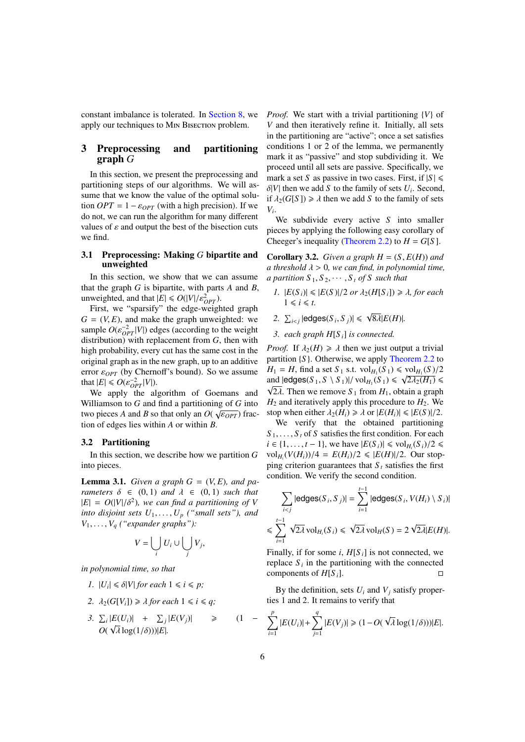constant imbalance is tolerated. In [Section 8,](#page-15-0) we apply our techniques to M<sub>IN</sub> BISECTION problem.

# <span id="page-5-1"></span>3 Preprocessing and partitioning graph *G*

In this section, we present the preprocessing and partitioning steps of our algorithms. We will assume that we know the value of the optimal solution  $OPT = 1 - \varepsilon_{OPT}$  (with a high precision). If we do not, we can run the algorithm for many different values of  $\varepsilon$  and output the best of the bisection cuts we find.

#### <span id="page-5-2"></span>3.1 Preprocessing: Making *G* bipartite and unweighted

In this section, we show that we can assume that the graph *G* is bipartite, with parts *A* and *B*, unweighted, and that  $|E| \le O(|V|/\varepsilon_{OPT}^2)$ .<br>First we "sparsify" the edge-weight

First, we "sparsify" the edge-weighted graph  $G = (V, E)$ , and make the graph unweighted: we sample  $O(\epsilon_{OPT}^{-2}|V|)$  edges (according to the weight<br>distribution) with replacement from G, then with distribution) with replacement from *G*, then with high probability, every cut has the same cost in the original graph as in the new graph, up to an additive error <sup>ε</sup>*OPT* (by Chernoff's bound). So we assume that  $|E| \le O(\varepsilon_{OPT}^{-2} |V|)$ .<br>We apply the al

We apply the algorithm of Goemans and Williamson to *G* and find a partitioning of *G* into two pieces *A* and *B* so that only an  $O(\sqrt{\epsilon_{OPT}})$  fraction of edges lies within *A* or within *R* tion of edges lies within *A* or within *B*.

#### 3.2 Partitioning

In this section, we describe how we partition *G* into pieces.

<span id="page-5-0"></span>**Lemma 3.1.** *Given a graph*  $G = (V, E)$ *, and parameters*  $\delta \in (0,1)$  *and*  $\lambda \in (0,1)$  *such that*  $|E| = O(|V|/\delta^2)$ , we can find a partitioning of *V* into disjoint sets *U*, *V* ("small sets") and *into disjoint sets*  $U_1, \ldots, U_p$  *("small sets"), and*  $V_1, \ldots, V_q$  *("expander graphs"):* 

$$
V = \bigcup_i U_i \cup \bigcup_j V_j,
$$

*in polynomial time, so that*

- *1.*  $|U_i| \le \delta |V|$  *for each*  $1 \le i \le p$ ;
- 2.  $\lambda_2(G[V_i]) \geq \lambda$  for each  $1 \leq i \leq q$ ;

3. 
$$
\sum_{i} |E(U_i)| + \sum_{j} |E(V_j)| \geq O(\sqrt{\lambda} \log(1/\delta)))|E|.
$$
 (1 -

*Proof.* We start with a trivial partitioning {*V*} of *V* and then iteratively refine it. Initially, all sets in the partitioning are "active"; once a set satisfies conditions 1 or 2 of the lemma, we permanently mark it as "passive" and stop subdividing it. We proceed until all sets are passive. Specifically, we mark a set *S* as passive in two cases. First, if  $|S| \le$ δ|*V*| then we add *S* to the family of sets *U<sub>i</sub>*. Second, if  $\lambda_2(G[S]) > \lambda$  then we add *S* to the family of sets if  $\lambda_2(G[S]) \ge \lambda$  then we add *S* to the family of sets *Vi* .

We subdivide every active *S* into smaller pieces by applying the following easy corollary of Cheeger's inequality [\(Theorem 2.2\)](#page-3-0) to  $H = G[S]$ .

**Corollary 3.2.** *Given a graph*  $H = (S, E(H))$  *and a threshold*  $\lambda > 0$ , we can find, in polynomial time, *a partition*  $S_1, S_2, \cdots, S_t$  *of S such that* 

- *1.*  $|E(S_i)| \le |E(S)|/2$  *or*  $\lambda_2(H[S_i]) \ge \lambda$ *, for each*  $1 \le i \le t$ .
- 2.  $\sum_{i < j} |$ edges(*S*<sub>*i*</sub>, *S*<sub>*j*</sub>)|  $\leq \forall$ <sup>8</sup>λ|*E*(*H*)|*.*
- *3. each graph H*[*S <sup>i</sup>*] *is connected.*

*Proof.* If  $\lambda_2(H) \ge \lambda$  then we just output a trivial partition {*S* }. Otherwise, we apply [Theorem 2.2](#page-3-0) to  $H_1 = H$ , find a set  $S_1$  s.t.  $vol_H(S_1) \leq vol_{H_1}(S)/2$ <br>and ledges(S, S \ S \)|/vol. (S \)  $\leq \sqrt{2\lambda_1(H_1)} \leq$ and  $|\text{edges}(S_1, S \setminus S_1)| / \text{vol}_{H_1}(S_1) \leq \sqrt{2\lambda_2(H_1)} \leq \sqrt{2\lambda_1(H_1)}$  $\sqrt{2\lambda}$ . Then we remove *S*<sub>1</sub> from *H*<sub>1</sub>, obtain a graph  $H_2$  and iteratively apply this procedure to  $H_2$ . We stop when either  $\lambda_2(H_i) \ge \lambda$  or  $|E(H_i)| \le |E(S)|/2$ .

We verify that the obtained partitioning  $S_1, \ldots, S_t$  of *S* satisfies the first condition. For each *i* ∈ {1, . . . , *t* − 1}, we have  $|E(S_i)| \le \text{vol}_{H_i}(S_i)/2 \le \text{vol}_{H_i}(S_i)/2$  (*N*(*H*))/*A* − *E*(*H*))/2 <  $|E(H)|/2$  (*Qur stopsilon*)  $vol_{H_i}(V(H_i))/4 = E(H_i)/2 \leq |E(H)|/2$ . Our stop-<br>ping criterion quarantees that S, satisfies the first ping criterion guarantees that  $S_t$  satisfies the first condition. We verify the second condition.

$$
\sum_{i < j} |\text{edges}(S_i, S_j)| = \sum_{i=1}^{t-1} |\text{edges}(S_i, V(H_i) \setminus S_i)|
$$
\n
$$
\leq \sum_{i=1}^{t-1} \sqrt{2\lambda} \text{ vol}_{H_i}(S_i) \leq \sqrt{2\lambda} \text{ vol}_H(S) = 2 \sqrt{2\lambda} |E(H)|.
$$

Finally, if for some *i*,  $H[S_i]$  is not connected, we replace  $S_i$  in the partitioning with the connected components of  $H[S_i]$ .

By the definition, sets  $U_i$  and  $V_j$  satisfy properties 1 and 2. It remains to verify that

$$
\sum_{i=1}^p |E(U_i)| + \sum_{j=1}^q |E(V_j)| \geq (1 - O(\sqrt{\lambda} \log(1/\delta)))|E|.
$$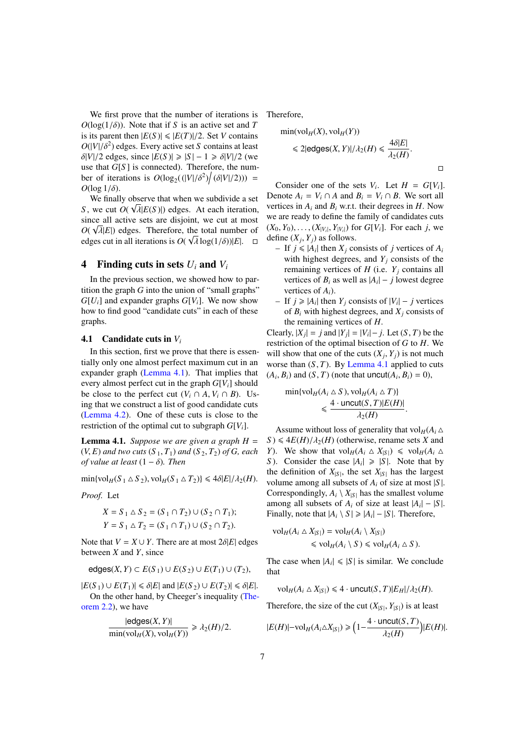We first prove that the number of iterations is  $O(\log(1/\delta))$ . Note that if *S* is an active set and *T* is its parent then  $|E(S)| \le |E(T)|/2$ . Set *V* contains  $O(|V|/\delta^2)$  edges. Every active set *S* contains at least  $\delta |V|/2$  edges, since  $|F(S)| > |S| - 1 > \delta |V|/2$  (we  $\delta|V|/2$  edges, since  $|E(S)| \ge |S| - 1 \ge \delta|V|/2$  (we use that *G*[*S* ] is connected). Therefore, the number of iterations is  $O(\log_2((|V|/\delta^2)/(\delta|V|/2))) = O(\log_1/\delta)$  $O(\log 1/\delta)$ .

We finally observe that when we subdivide a set *S*, we cut  $O(\sqrt{\lambda} |E(S)|)$  edges. At each iteration, since all active sets are disjoint, we cut at most since all active sets are disjoint, we cut at most  $O(\sqrt{\lambda}|E|)$  edges. Therefore, the total number of edges cut in all iterations is  $O(\sqrt{\lambda} \log(1/\delta))|E|$ edges cut in all iterations is  $O(\sqrt{\lambda} \log(1/\delta))|E|$ .  $\Box$ 

### <span id="page-6-1"></span>4 Finding cuts in sets  $U_i$  and  $V_i$

In the previous section, we showed how to partition the graph  $G$  into the union of "small graphs"  $G[U_i]$  and expander graphs  $G[V_i]$ . We now show how to find good "candidate cuts" in each of these graphs.

#### 4.1 Candidate cuts in *V<sup>i</sup>*

In this section, first we prove that there is essentially only one almost perfect maximum cut in an expander graph [\(Lemma 4.1\)](#page-6-0). That implies that every almost perfect cut in the graph  $G[V_i]$  should be close to the perfect cut  $(V_i \cap A, V_i \cap B)$ . Using that we construct a list of good candidate cuts [\(Lemma 4.2\)](#page-7-0). One of these cuts is close to the restriction of the optimal cut to subgraph  $G[V_i]$ .

<span id="page-6-0"></span>**Lemma 4.1.** *Suppose we are given a graph*  $H =$  $(V, E)$  *and two cuts*  $(S_1, T_1)$  *and*  $(S_2, T_2)$  *of G, each of value at least*  $(1 - \delta)$ *. Then* 

 $\min\{\text{vol}_H(S_1 \triangle S_2), \text{vol}_H(S_1 \triangle T_2)\} \leq 4\delta|E|/\lambda_2(H).$ 

*Proof.* Let

$$
X = S_1 \triangle S_2 = (S_1 \cap T_2) \cup (S_2 \cap T_1);
$$
  
\n
$$
Y = S_1 \triangle T_2 = (S_1 \cap T_1) \cup (S_2 \cap T_2).
$$

Note that  $V = X \cup Y$ . There are at most  $2\delta|E|$  edges between *X* and *Y*, since

$$
\mathsf{edges}(X,Y) \subset E(S_1) \cup E(S_2) \cup E(T_1) \cup (T_2),
$$

 $|E(S_1) \cup E(T_1)| \le \delta |E|$  and  $|E(S_2) \cup E(T_2)| \le \delta |E|.$ On the other hand, by Cheeger's inequality [\(The](#page-3-0)[orem 2.2\)](#page-3-0), we have

$$
\frac{|\text{edges}(X, Y)|}{\min(\text{vol}_H(X), \text{vol}_H(Y))} \ge \lambda_2(H)/2.
$$

Therefore,

$$
\min(\text{vol}_H(X), \text{vol}_H(Y))
$$
  
\$\leq 2 | \text{edges}(X, Y) | / \lambda\_2(H) \leq \frac{4\delta |E|}{\lambda\_2(H)}.

 $\Box$ 

Consider one of the sets  $V_i$ . Let  $H = G[V_i]$ . Denote  $A_i = V_i \cap A$  and  $B_i = V_i \cap B$ . We sort all vertices in  $A_i$  and  $B_i$  w.r.t. their degrees in  $H$ . Now we are ready to define the family of candidates cuts  $(X_0, Y_0), \ldots, (X_{|V_i|}, Y_{|V_i|})$  for  $G[V_i]$ . For each *j*, we define  $(Y_i \cdot Y_i)$  as follows define  $(X_j, Y_j)$  as follows.<br>
– If  $j \leq |A|$  then  $X_j$  contains the state of the state of the state of the state of the state of the state of the state of the state of the state of the state of the state of the state of th

- $-$  If  $j \leq |A_i|$  then  $X_j$  consists of *j* vertices of  $A_i$ with highest degrees, and  $Y_i$  consists of the remaining vertices of  $H$  (i.e.  $Y_j$  contains all vertices of  $B_i$  as well as  $|A_i| - j$  lowest degree vertices of *Ai*).
- $-$  If *j* ≥ |*A*<sup>*i*</sup>| then *Y*<sup>*j*</sup> consists of |*V*<sup>*i*</sup>| − *j* vertices of  $B_i$  with highest degrees, and  $X_i$  consists of the remaining vertices of *H*.

Clearly,  $|X_j| = j$  and  $|Y_j| = |V_i| - j$ . Let  $(S, T)$  be the restriction of the optimal bisection of G to H. We restriction of the optimal bisection of *G* to *H*. We will show that one of the cuts  $(X_j, Y_j)$  is not much<br>worse than  $(S, T)$ . By Lemma 4.1 annifed to cuts worse than  $(S, T)$ . By [Lemma 4.1](#page-6-0) applied to cuts  $(A_i, B_i)$  and  $(S, T)$  (note that uncut $(A_i, B_i) = 0$ ),

$$
\min\{\text{vol}_H(A_i \triangle S), \text{vol}_H(A_i \triangle T)\}\n\leq \frac{4 \cdot \text{uncut}(S, T)|E(H)|}{\lambda_2(H)}.
$$

Assume without loss of generality that  $\text{vol}_H(A_i \triangle$  $S$ )  $\leq$  4*E*(*H*)/ $\lambda$ <sub>2</sub>(*H*) (otherwise, rename sets *X* and *Y*). We show that  $\text{vol}_H(A_i \triangle X_{|S|}) \leq \text{vol}_H(A_i \triangle Y_{|S|})$ *S*). Consider the case  $|A_i| \ge |S|$ . Note that by the definition of  $X_{|S|}$ , the set  $X_{|S|}$  has the largest volume among all subsets of  $A_i$  of size at most  $|S|$ . Correspondingly,  $A_i \setminus X_{|S|}$  has the smallest volume among all subsets of  $A_i$  of size at least  $|A_i| - |S|$ . Finally, note that  $|A_i \setminus S| \geq |A_i| - |S|$ . Therefore,

$$
\mathrm{vol}_{H}(A_{i} \triangle X_{|S|}) = \mathrm{vol}_{H}(A_{i} \setminus X_{|S|})
$$
  
\$\leq \mathrm{vol}\_{H}(A\_{i} \setminus S) \leq \mathrm{vol}\_{H}(A\_{i} \triangle S).

The case when  $|A_i| \leq |S|$  is similar. We conclude that

 $vol_H(A_i \triangle X_{|S|}) \leq 4 \cdot \text{uncut}(S, T)|E_H|/\lambda_2(H).$ 

Therefore, the size of the cut  $(X_{|S|}, Y_{|S|})$  is at least

$$
|E(H)| - \text{vol}_H(A_i \triangle X_{|S|}) \ge \left(1 - \frac{4 \cdot \text{uncut}(S, T)}{\lambda_2(H)}\right)|E(H)|.
$$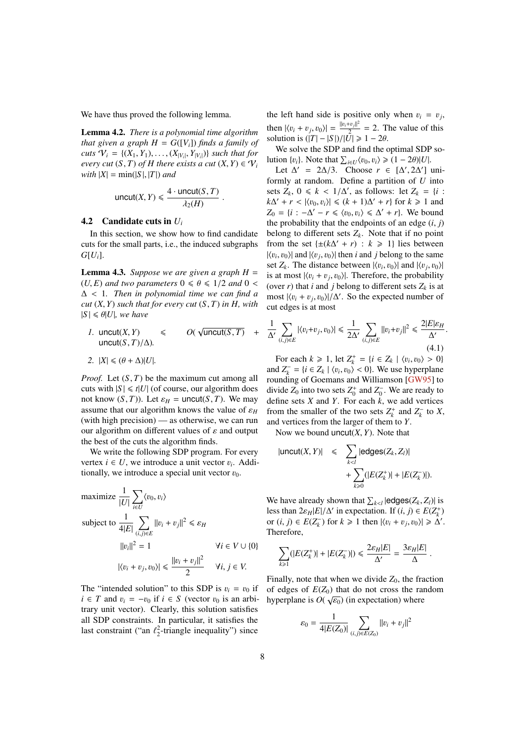<span id="page-7-2"></span>We have thus proved the following lemma.

<span id="page-7-0"></span>Lemma 4.2. *There is a polynomial time algorithm that given a graph*  $H = G([V_i])$  *finds a family of cuts*  $V_i = \{(X_1, Y_1), \ldots, (X_{|V_i|}, Y_{|V_i|})\}$  *such that for every cut*  $(S, T)$  of *H there exists a cut*  $(Y, Y) \in \mathcal{V}$ . *every cut*  $(S, T)$  *of H there exists a cut*  $(X, Y) \in V_i$ *with*  $|X| = min(|S|, |T|)$  *and* 

$$
\text{uncut}(X, Y) \leq \frac{4 \cdot \text{uncut}(S, T)}{\lambda_2(H)}
$$

#### 4.2 Candidate cuts in *U<sup>i</sup>*

In this section, we show how to find candidate cuts for the small parts, i.e., the induced subgraphs  $G[U_i].$ 

<span id="page-7-1"></span>**Lemma 4.3.** *Suppose we are given a graph*  $H =$  $(U, E)$  *and two parameters*  $0 \le \theta \le 1/2$  *and*  $0 \le$ <sup>∆</sup> < <sup>1</sup>*. Then in polynomial time we can find a cut* (*X*, *<sup>Y</sup>*) *such that for every cut* (*S*, *<sup>T</sup>*) *in H, with*  $|S| \le \theta |U|$ *, we have* 

*I.* uncut(X, Y) 
$$
\leq
$$
  $O(\sqrt{\text{uncut}(S, T)} + \text{uncut}(S, T)/\Delta).$ 

$$
2. \ \ |X| \leq (\theta + \Delta)|U|.
$$

*Proof.* Let  $(S, T)$  be the maximum cut among all cuts with  $|S| \le t|U|$  (of course, our algorithm does not know  $(S, T)$ ). Let  $\varepsilon_H = \text{uncut}(S, T)$ . We may assume that our algorithm knows the value of  $\varepsilon_H$ (with high precision) — as otherwise, we can run our algorithm on different values of  $\varepsilon$  and output the best of the cuts the algorithm finds.

We write the following SDP program. For every vertex  $i \in U$ , we introduce a unit vector  $v_i$ . Additionally we introduce a special unit vector  $v_0$ . tionally, we introduce a special unit vector  $v_0$ .

maximize 
$$
\frac{1}{|U|} \sum_{i \in U} \langle v_0, v_i \rangle
$$
  
\nsubject to  $\frac{1}{4|E|} \sum_{(i,j) \in E} ||v_i + v_j||^2 \le \varepsilon_H$   
\n $||v_i||^2 = 1$   $\forall i \in V \cup \{0\}$   
\n $|\langle v_i + v_j, v_0 \rangle| \le \frac{||v_i + v_j||^2}{2}$   $\forall i, j \in V$ .

The "intended solution" to this SDP is  $v_i = v_0$  if  $i \in T$  and  $v_i = -v_0$  if  $i \in S$  (vector  $v_0$  is an arbitrary unit vector). Clearly, this solution satisfies all SDP constraints. In particular, it satisfies the last constraint ("an  $\ell_2^2$ -triangle inequality") since

the left hand side is positive only when  $v_i = v_j$ , then  $|\langle v_i + v_j, v_0 \rangle| = \frac{||v_i + v_j||^2}{2}$ <br>solution is  $(|T| - |S|) / |I|$  $\frac{1+v_{j||}}{2}$  = 2. The value of this solution is  $(|T| - |S|)/|\overline{U}| \ge 1 - 2\theta$ .

We solve the SDP and find the optimal SDP solution  $\{v_i\}$ . Note that  $\sum_{i \in U} \langle v_0, v_i \rangle \geq (1 - 2\theta)|U|$ .<br>Let  $\Delta' = 2\Delta/3$ . Choose  $r \in [\Delta' 2\Delta'']$ .

Let  $\Delta' = 2\Delta/3$ . Choose  $r \in [\Delta', 2\Delta']$  uni-<br>rmly at random. Define a partition of *U* into formly at random. Define a partition of *U* into sets  $Z_k$ ,  $0 \le k < 1/\Delta'$ , as follows: let  $Z_k = \{i : k\Delta' + r < |u_0, v_1| \le (k+1)\Delta' + r\}$  for  $k > 1$  and  $k\Delta' + r < |\langle v_0, v_i \rangle| \le (k+1)\Delta' + r$  for  $k \ge 1$  and  $Z_0 = \{i : -\Delta' - r \le (v_0, v_1) \le \Delta' + r\}$ . We hound  $Z_0 = \{i : -\Delta' - r \leq \langle v_0, v_i \rangle \leq \Delta' + r\}$ . We bound the probability that the endpoints of an edge *(i, i)* the probability that the endpoints of an edge  $(i, j)$ belong to different sets  $Z_k$ . Note that if no point from the set  $\{\pm (k\Delta' + r) : k \ge 1\}$  lies between  $|\langle v_i, v_0 \rangle|$  and  $|\langle v_j, v_0 \rangle|$  then *i* and *j* belong to the same<br>set Z. The distance between  $|\langle v_1, v_0 \rangle|$  and  $|\langle v_1, v_0 \rangle|$ set  $Z_k$ . The distance between  $|\langle v_i, v_0 \rangle|$  and  $|\langle v_j, v_0 \rangle|$ <br>is at most  $|\langle v_1 + v_2, v_0 \rangle|$ . Therefore, the probability is at most  $|\langle v_i + v_j, v_0 \rangle|$ . Therefore, the probability<br>(over r) that *i* and *i* belong to different sets Z, is at (over *r*) that *i* and *j* belong to different sets  $Z_k$  is at most  $|\langle v_i + v_j, v_0 \rangle|/\Delta'$ . So the expected number of cut edges is at most cut edges is at most

$$
\frac{1}{\Delta'}\sum_{(i,j)\in E}|\langle v_i+v_j,v_0\rangle|\leq \frac{1}{2\Delta'}\sum_{(i,j)\in E}\|v_i+v_j\|^2\leq \frac{2|E|\varepsilon_H}{\Delta'}\tag{4.1}
$$

For each  $k \ge 1$ , let  $Z_k^+ = \{i \in Z_k \mid \langle v_i, v_0 \rangle > 0\}$ <br>  $dZ^- = \{i \in Z_k \mid \langle v_i, v_0 \rangle > 0\}$  We use hyperplane and  $Z_k^- = {i \in Z_k \mid \langle v_i, v_0 \rangle \langle 0 \rangle}$ . We use hyperplane<br>rounding of Goemans and Williamson [GW95] to rounding of Goemans and Williamson [\[GW95\]](#page-16-0) to divide  $Z_0$  into two sets  $Z_0^+$  and  $Z_0^-$ . We are ready to define sets *X* and *Y*. For each *k*, we add vertices from the smaller of the two sets  $Z_k^+$  and  $Z_k^-$  to *X*, and vertices from the larger of them to *Y*.

Now we bound uncut(*X*, *<sup>Y</sup>*). Note that

$$
|uncut(X,Y)| \leq \sum_{k < l} |edges(Z_k, Z_l)| + \sum_{k \geq 0} (|E(Z_k^*)| + |E(Z_k^-)|).
$$

We have already shown that  $\sum_{k \leq l} |\text{edges}(Z_k, Z_l)|$  is<br>less than  $2\varepsilon_{kl} |E| / \Delta'$  in expectation. If  $(i, j) \in E(Z^+)$ less than  $2\varepsilon_H |E|/\Delta'$  in expectation. If  $(i, j) \in E(Z^+_k)$ <br>or  $(i, j) \in E(Z^-)$  for  $k > 1$  then  $|f_k| + |f_k| \le \Delta'$ or  $(i, j) \in E(Z_k^-)$  for  $k \ge 1$  then  $|\langle v_i + v_j, v_0 \rangle| \ge \hat{\Delta}'$ .<br>Therefore Therefore,

$$
\sum_{k\geq 1} (|E(Z_k^+)|+|E(Z_k^-)|)\leq \frac{2\varepsilon_H|E|}{\Delta'}=\frac{3\varepsilon_H|E|}{\Delta}
$$

Finally, note that when we divide  $Z_0$ , the fraction of edges of  $E(Z_0)$  that do not cross the random hyperplane is  $O(\sqrt{\varepsilon_0})$  (in expectation) where

$$
\varepsilon_0 = \frac{1}{4|E(Z_0)|} \sum_{(i,j)\in E(Z_0)} ||v_i + v_j||^2
$$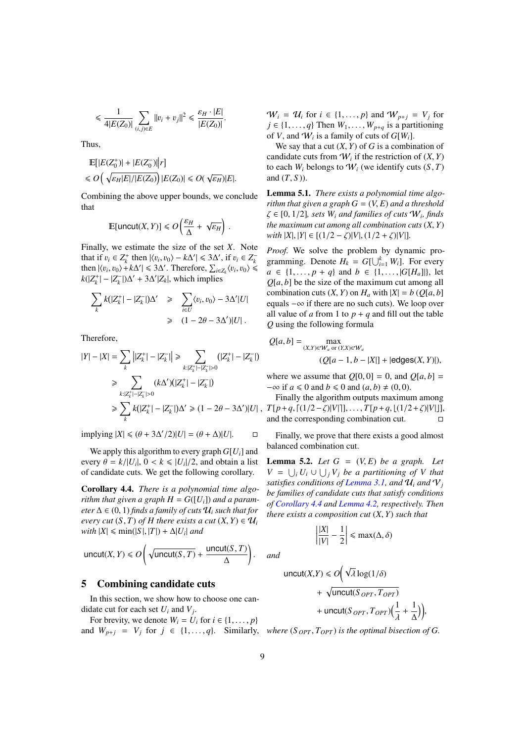$$
\leq \frac{1}{4|E(Z_0)|} \sum_{(i,j)\in E} ||v_i + v_j||^2 \leq \frac{\varepsilon_H \cdot |E|}{|E(Z_0)|}.
$$

Thus,

$$
\mathbb{E}[|E(Z_0^+)|+|E(Z_0^-)||r]
$$
  
\$\le O(\sqrt{\varepsilon\_H|E|/|E(Z\_0)|})|E(Z\_0)| \le O(\sqrt{\varepsilon\_H})|E|.

Combining the above upper bounds, we conclude that

$$
\mathbb{E}[\text{uncut}(X,Y)] \leq \mathcal{O}\left(\frac{\varepsilon_H}{\Delta} + \sqrt{\varepsilon_H}\right).
$$

Finally, we estimate the size of the set *X*. Note that if  $v_i \in Z_k^+$  then  $|\langle v_i, v_0 \rangle - k\Delta' | \leq 3\Delta'$ , if  $v_i \in Z_k^-$ <br>then  $|\langle v_i, v_0 \rangle + k\Delta' | \leq 3\Delta'$ . Therefore  $\sum_{i=1}^k (v_i, v_0) \leq$ then  $|\langle v_i, v_0 \rangle + k\Delta' |$  ≤ 3 $\Delta'$ . Therefore,  $\sum_{i \in Z_k} \langle v_i, v_0 \rangle$  ≤  $k(17^+|$  -  $17^-|\lambda' + 3\Delta'|Z_1|$  which implies  $k(|Z_k^+| - |Z_k^-|)\Delta' + 3\Delta'|Z_k|$ , which implies

$$
\sum_{k} k(|Z_{k}^{+}| - |Z_{k}^{-}|) \Delta' \ge \sum_{i \in U} \langle v_{i}, v_{0} \rangle - 3\Delta' |U|
$$
  

$$
\ge (1 - 2\theta - 3\Delta')|U|.
$$

Therefore,

$$
|Y| - |X| = \sum_{k} |Z_{k}^{+}| - |Z_{k}^{-}| \ge \sum_{k: |Z_{k}^{+}| - |Z_{k}^{-}| > 0} (|Z_{k}^{+}| - |Z_{k}^{-}|)
$$
  
\n
$$
\ge \sum_{k: |Z_{k}^{+}| - |Z_{k}^{-}| > 0} (k\Delta')(|Z_{k}^{+}| - |Z_{k}^{-}|)
$$
  
\n
$$
\ge \sum_{k} k(|Z_{k}^{+}| - |Z_{k}^{-}|)\Delta' \ge (1 - 2\theta - 3\Delta')|U|,
$$

 $\text{implying } |X| \leq (\theta + 3\Delta'/2)|U| = (\theta + \Delta)|U|.$ 

We apply this algorithm to every graph *G*[*Ui*] and every  $\theta = k/|U_i|$ ,  $0 < k \leq |U_i|/2$ , and obtain a list<br>of candidate cuts. We get the following corollary of candidate cuts. We get the following corollary.

<span id="page-8-0"></span>Corollary 4.4. *There is a polynomial time algorithm that given a graph*  $H = G([U_i])$  *and a parameter*  $\Delta \in (0, 1)$  *finds a family of cuts*  $\mathcal{U}_i$  *such that for every cut*  $(S, T)$  *of H there exists a cut*  $(X, Y) \in U_i$  $with |X| \leq \min(|S|, |T|) + \Delta |U_i|$  *and* 

$$
\text{uncut}(X, Y) \le O\bigg(\sqrt{\text{uncut}(S, T)} + \frac{\text{uncut}(S, T)}{\Delta}\bigg).
$$

#### <span id="page-8-2"></span>5 Combining candidate cuts

In this section, we show how to choose one candidate cut for each set *U<sup>i</sup>* and *V<sup>j</sup>* .

For brevity, we denote  $W_i = U_i$  for  $i \in \{1, \ldots, p\}$ For brevity, we denote  $w_i = v_i$  for  $i \in \{1, ..., p\}$ <br>and  $W_{p+j} = V_j$  for  $j \in \{1, ..., q\}$ . Similarly, where  $(S_{OPT}, T_{OPT})$  is the optimal bisection of G.

 $W_i = U_i$  for  $i \in \{1, ..., p\}$  and  $W_{p+i} = V_i$  for  $j \in \{1, \ldots, q\}$  Then  $W_1, \ldots, W_{p+q}$  is a partitioning of *V*, and  $W_i$  is a family of cuts of  $G[W_i]$ .

We say that a cut  $(X, Y)$  of  $G$  is a combination of candidate cuts from  $W_i$  if the restriction of  $(X, Y)$ <br>to each  $W_i$  belongs to  $W_i$  (we identify cuts  $(S, T)$ to each  $W_i$  belongs to  $W_i$  (we identify cuts  $(S, T)$ and  $(T, S)$ ).

<span id="page-8-1"></span>Lemma 5.1. *There exists a polynomial time algorithm that given a graph*  $G = (V, E)$  *and a threshold*  $\zeta \in [0, 1/2]$ *, sets*  $W_i$  *and families of cuts*  $W_i$ *, finds*<br>*the maximum cut among all combination cuts*  $(X, Y)$ *the maximum cut among all combination cuts* (*X*, *<sup>Y</sup>*)  $with |X|, |Y| \in [(1/2 - \zeta)|V|, (1/2 + \zeta)|V|].$ 

*Proof.* We solve the problem by dynamic programming. Denote  $H_k = G[\bigcup_{i=1}^k W_i]$ . For every *a* ∈ {1,..., *p* + *q*} and *b* ∈ {1,..., |*G*[*H<sub>a</sub>*]|}, let *<sup>Q</sup>*[*a*, *<sup>b</sup>*] be the size of the maximum cut among all combination cuts  $(X, Y)$  on  $H_a$  with  $|X| = b$  ( $Q[a, b]$ equals −∞ if there are no such cuts). We loop over all value of *a* from 1 to  $p + q$  and fill out the table *Q* using the following formula

$$
Q[a,b] = \max_{(X,Y)\in W_a \text{ or } (Y,X)\in W_a} (Q[a-1,b-|X|] + |\text{edges}(X,Y)|),
$$

where we assume that  $Q[0, 0] = 0$ , and  $Q[a, b] =$  $-\infty$  if  $a \le 0$  and  $b \le 0$  and  $(a, b) \ne (0, 0)$ .

Finally the algorithm outputs maximum among  $T[p+q, (1/2-\zeta)|V|], \ldots, T[p+q, (1/2+\zeta)|V|],$ <br>and the corresponding combination cut and the corresponding combination cut.

Finally, we prove that there exists a good almost balanced combination cut.

<span id="page-8-3"></span>**Lemma 5.2.** *Let*  $G = (V, E)$  *be a graph. Let*  $V = \bigcup_i U_i \cup \bigcup_j V_j$  *be a partitioning of V that satisfies conditions of [Lemma 3.1,](#page-5-0)* and  $\mathcal{U}_i$  *and*  $\mathcal{V}_j$ *be families of candidate cuts that satisfy conditions of [Corollary 4.4](#page-8-0) and [Lemma 4.2,](#page-7-0) respectively. Then there exists a composition cut* (*X*, *<sup>Y</sup>*) *such that*

$$
\left|\frac{|X|}{|V|} - \frac{1}{2}\right| \le \max(\Delta, \delta)
$$

*and*

uncut(X,Y) 
$$
\leq O\left(\sqrt{\lambda} \log(1/\delta) + \sqrt{\text{uncut}(S_{OPT}, T_{OPT})} + \text{uncut}(S_{OPT}, T_{OPT})\left(\frac{1}{\lambda} + \frac{1}{\Delta}\right)\right)
$$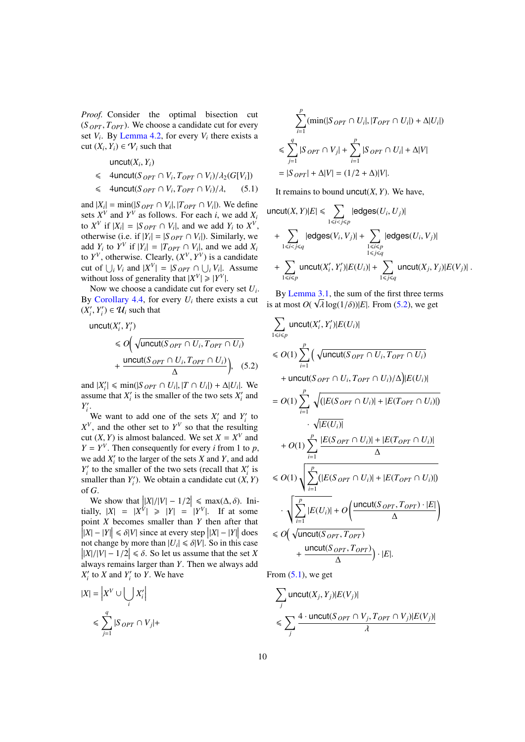*Proof.* Consider the optimal bisection cut  $(S_{OPT}, T_{OPT})$ . We choose a candidate cut for every set  $V_i$ . By [Lemma 4.2,](#page-7-0) for every  $V_i$  there exists a cut  $(X_i, Y_i) \in V_i$  such that

 $uncut(X_i, Y_i)$ 

- <span id="page-9-1"></span> $\leq$  4uncut(*S OPT*  $\cap$  *V<sub>i</sub>*</sub>, *T*<sub>*OPT*</sub>  $\cap$  *V<sub>i</sub>*)/ $\lambda$ <sub>2</sub>(*G*[*V<sub>i</sub>*])
- $\leq$  4uncut(*S OPT*  $\cap$  *V<sub>i</sub>*, *T*<sub>*OPT*</sub>  $\cap$  *V<sub>i</sub>*)/ $\lambda$ , (5.1)

and  $|X_i| = \min(|S_{OPT} \cap V_i|, |T_{OPT} \cap V_i|)$ . We define sets  $Y^V$  and  $Y^V$  as follows. For each *i*, we add *Y*. sets  $X^V$  and  $Y^V$  as follows. For each *i*, we add  $X_i$ to  $X^V$  if  $|X_i| = |S_{OPT} \cap V_i|$ , and we add  $Y_i$  to  $X^V$ , otherwise (i.e. if  $|Y_i| = |S_{OPT} \cap V_i|$ ). Similarly, we add *Y<sub>i</sub>* to *Y<sup>V</sup>* if  $|Y_i| = |T_{OPT} \cap V_i|$ , and we add *X<sub>i</sub>* to  $Y^V$ , otherwise. Clearly,  $(X^V, Y^V)$  is a candidate<br>cut of  $\Box V$ , and  $|Y^V| = |S_{\text{OPT}} \cap \Box V|$ . Assume cut of  $\bigcup_i V_i$  and  $|X^V| = |S_{OPT} \cap \bigcup_i V_i|$ . Assume without loss of generality that  $|X^V| \ge |Y^V|$ .

Now we choose a candidate cut for every set *U<sup>i</sup>* . By [Corollary 4.4,](#page-8-0) for every  $U_i$  there exists a cut  $(X'_i, Y'_i) \in U_i$  such that

uncut(*X'<sub>i</sub>*, *Y'<sub>i</sub>*)  
\n≤ *O*(
$$
\sqrt{\text{uncut}(S_{OPT} \cap U_i, T_{OPT} \cap U_i)}
$$
  
\n+  $\frac{\text{uncut}(S_{OPT} \cap U_i, T_{OPT} \cap U_i)}{\Delta}$ ), (5.2)

and  $|X'_i| \leq \min(|S_{OPT} \cap U_i|, |T \cap U_i|) + \Delta|U_i|$ . We assume that  $Y'$  is the smaller of the two sets  $Y'$  and assume that  $X_i'$  is the smaller of the two sets  $X_i'$  and  $Y_i'$ .

We want to add one of the sets  $X_i'$  and  $Y_i'$  to  $X^V$ , and the other set to  $Y^V$  so that the resulting cut  $(X, Y)$  is almost balanced. We set  $X = X^V$  and  $Y = Y^V$ . Then consequently for every *i* from 1 to *n*  $Y = Y^V$ . Then consequently for every *i* from 1 to *p*, we add  $X_i'$  to the larger of the sets  $X$  and  $Y$ , and add  $Y_i'$  to the smaller of the two sets (recall that  $X_i'$  is smaller than  $Y'_i$ ). We obtain a candidate cut  $(X, Y)$ of *G*.

We show that  $\left| \frac{|X|}{|V|} - \frac{1}{2} \right| \le \max(\Delta, \delta)$ . Ini-<br> $\frac{|X|}{|V|} - \frac{|Y|}{|V|} > |Y| - \frac{|Y|}{|V|}$  If at some tially,  $|X| = |X^V| \ge |Y| = |Y^V|$ . If at some point *X* becomes smaller than *Y* then after that  $\left| |X| - |Y| \right| \le \delta |V|$  since at every step  $\left| |X| - |Y| \right|$  does not change by more than  $|U| \le \delta |V|$ . So in this case not change by more than  $|U_i| \le \delta |V|$ . So in this case  $||X|/|V| - 1/2| \le \delta$ . So let us assume that the set X  $\left| \frac{|X|}{|V|} - \frac{1}{2} \right| \le \delta$ . So let us assume that the set *X* always remains larger than *Y*. Then we always add always remains larger than *Y*. Then we always add  $X_i'$  to *X* and  $Y_i'$  to *Y*. We have

$$
|X| = \left| X^V \cup \bigcup_i X'_i \right|
$$
  

$$
\leq \sum_{j=1}^q |S_{OPT} \cap V_j| +
$$

$$
\sum_{i=1}^{p} (\min(|S_{OPT} \cap U_i|, |T_{OPT} \cap U_i|) + \Delta |U_i|)
$$
  

$$
\leq \sum_{j=1}^{q} |S_{OPT} \cap V_j| + \sum_{i=1}^{p} |S_{OPT} \cap U_i| + \Delta |V|
$$
  

$$
= |S_{OPT}| + \Delta |V| = (1/2 + \Delta) |V|.
$$

It remains to bound uncut $(X, Y)$ . We have,

$$
\text{uncut}(X, Y)|E| \leq \sum_{1 \leq i < j \leq p} |\text{edges}(U_i, U_j)|
$$
\n
$$
+ \sum_{1 \leq i < j \leq q} |\text{edges}(V_i, V_j)| + \sum_{\substack{1 \leq i \leq p \\ 1 \leq j \leq q}} |\text{edges}(U_i, V_j)|
$$
\n
$$
+ \sum_{1 \leq i < p} \text{uncut}(X'_i, Y'_i)|E(U_i)| + \sum_{1 \leq j \leq q} \text{uncut}(X_j, Y_j)|E(V_j)|.
$$

By [Lemma 3.1,](#page-5-0) the sum of the first three terms is at most  $O(\sqrt{\lambda} \log(1/\delta))|E|$ . From [\(5.2\)](#page-9-0), we get

<span id="page-9-0"></span>
$$
\sum_{1 \leq i \leq p} \text{uncut}(X'_i, Y'_i) |E(U_i)|
$$
\n
$$
\leq O(1) \sum_{i=1}^p \left( \sqrt{\text{uncut}(S_{OPT} \cap U_i, T_{OPT} \cap U_i)} + \text{uncut}(S_{OPT} \cap U_i, T_{OPT} \cap U_i) / \Delta \right) |E(U_i)|
$$
\n
$$
= O(1) \sum_{i=1}^p \sqrt{\left( |E(S_{OPT} \cap U_i)| + |E(T_{OPT} \cap U_i)| \right)} \cdot \sqrt{|E(U_i)|}
$$
\n
$$
+ O(1) \sum_{i=1}^p \frac{|E(S_{OPT} \cap U_i)| + |E(T_{OPT} \cap U_i)|}{\Delta}
$$
\n
$$
\leq O(1) \sqrt{\sum_{i=1}^p \left( |E(S_{OPT} \cap U_i)| + |E(T_{OPT} \cap U_i)| \right)}
$$
\n
$$
\cdot \sqrt{\sum_{i=1}^p |E(U_i)| + O\left( \frac{\text{uncut}(S_{OPT}, T_{OPT}) \cdot |E|}{\Delta} \right)}
$$
\n
$$
\leq O\left( \sqrt{\text{uncut}(S_{OPT}, T_{OPT})} + \frac{\text{uncut}(S_{OPT}, T_{OPT})}{\Delta} \right) \cdot |E|.
$$

From  $(5.1)$ , we get

$$
\sum_{j} \text{uncut}(X_j, Y_j) |E(V_j)|
$$
  

$$
\leq \sum_{j} \frac{4 \cdot \text{uncut}(S_{OPT} \cap V_j, T_{OPT} \cap V_j) |E(V_j)|}{\lambda}
$$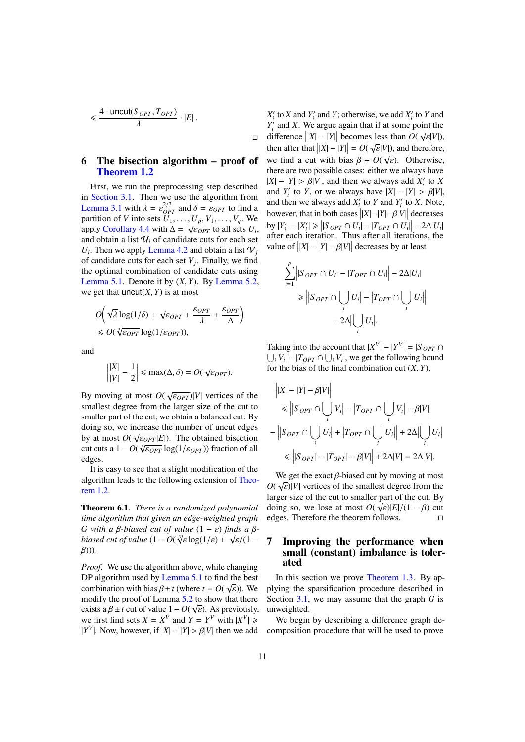$$
\leqslant \frac{4 \cdot \text{uncut}(S_{\text{OPT}}, T_{\text{OPT}})}{\lambda} \cdot |E| \, .
$$

## <span id="page-10-0"></span>6 The bisection algorithm – proof of [Theorem 1.2](#page-2-3)

 $\Box$ 

First, we run the preprocessing step described in [Section 3.1.](#page-5-2) Then we use the algorithm from **Lemma** 3.1 with  $\lambda = \varepsilon_{OPT}^{2/3}$  and  $\delta = \varepsilon_{OPT}$  to find a partition of *V* into sets *II*. *II V*. *V* We partition of *V* into sets  $\overline{U_1}, \ldots, \overline{U_p}, V_1, \ldots, V_q$ . We partition of v into sets  $U_1, \ldots, U_p, V_1, \ldots, V_q$ , we<br>apply [Corollary 4.4](#page-8-0) with  $\Delta = \sqrt{\varepsilon_{OPT}}$  to all sets  $U_i$ ,<br>and obtain a list *IL*, of candidate cuts for each set and obtain a list  $\mathcal{U}_i$  of candidate cuts for each set  $U_i$ . Then we apply [Lemma 4.2](#page-7-0) and obtain a list  $V_j$ of candidate cuts for each set  $V_j$ . Finally, we find the optimal combination of candidate cuts using [Lemma 5.1.](#page-8-1) Denote it by (*X*, *<sup>Y</sup>*). By [Lemma 5.2,](#page-8-3) we get that  $\text{uncut}(X, Y)$  is at most

$$
O\left(\sqrt{\lambda}\log(1/\delta) + \sqrt{\varepsilon_{OPT}} + \frac{\varepsilon_{OPT}}{\lambda} + \frac{\varepsilon_{OPT}}{\Delta}\right)
$$
  
\$\leq O(\sqrt[3]{\varepsilon\_{OPT}}\log(1/\varepsilon\_{OPT}))\$,

and

$$
\left|\frac{|X|}{|V|} - \frac{1}{2}\right| \le \max(\Delta, \delta) = O(\sqrt{\varepsilon_{OPT}}).
$$

By moving at most  $O(\sqrt{\epsilon_{OPT}})|V|$  vertices of the smallest degree from the larger size of the cut to smallest degree from the larger size of the cut to smaller part of the cut, we obtain a balanced cut. By doing so, we increase the number of uncut edges by at most  $O(\sqrt{\epsilon_{OPT}}|E|)$ . The obtained bisection<br>cut cuts a  $1 - O(\sqrt{\epsilon_{OPT}} \log(1/\epsilon_{OPT}))$  fraction of all  $\cot \alpha$  cuts a  $1 - O(\sqrt[3]{\epsilon_{OPT}} \log(1/\epsilon_{OPT}))$  fraction of all<br>edges edges.

It is easy to see that a slight modification of the algorithm leads to the following extension of [Theo](#page-2-3)[rem 1.2.](#page-2-3)

Theorem 6.1. *There is a randomized polynomial time algorithm that given an edge-weighted graph G* with a β-biased cut of value  $(1 – ε)$  *finds a β-*<br>biased cut of value  $(1 – Ο(3π) = θ(1 ε) + 3π(11 – θ(11) = θ(11 – θ(11) = θ(11 – θ(11)) = θ(11 – θ(11) = θ(11 – θ(11)) = θ(11 – θ(11) = θ(11 – θ(11) = θ(11 – θ(11) = θ(11 – θ(11) = θ(11 – θ($ *biased cut of value* (1 − *0*( $\sqrt[3]{\varepsilon} \log(1/\varepsilon) + \sqrt{\varepsilon}/(1 - \beta)$ )) β)))*.*

*Proof.* We use the algorithm above, while changing DP algorithm used by [Lemma 5.1](#page-8-1) to find the best combination with bias  $\beta \pm t$  (where  $t = O(\sqrt{\varepsilon})$ ). We modify the proof of Lemma 5.2 to show that there modify the proof of Lemma  $\frac{5.2}{\sqrt{2}}$  $\frac{5.2}{\sqrt{2}}$  $\frac{5.2}{\sqrt{2}}$  to show that there exists a  $\beta \pm t$  cut of value  $1 - O(\sqrt{\varepsilon})$ . As previously,<br>we first find sets  $X = Y^V$  and  $Y = Y^V$  with  $|Y^V| >$ we first find sets  $X = X^V$  and  $Y = Y^V$  with  $|X^V| \ge 0$  $|Y^V|$ . Now, however, if  $|X| - |Y| > \beta |V|$  then we add

 $X_i'$  to *X* and  $Y_i'$  and *Y*; otherwise, we add  $X_i'$  to *Y* and  $Y_i'$  and *X*. We argue again that if at some point the difference  $||X| - |Y||$  becomes less than  $O(\sqrt{\varepsilon}|V|)$ ,<br>then efter that  $||Y|| - |V|| = O(\sqrt{\varepsilon}|V|)$ , and therefore then after that  $||X| - |Y|| = O(\sqrt{\varepsilon}|V|)$ , and therefore, we find a cut with bias  $\beta + O(\sqrt{\varepsilon})$ . Otherwise, there are two possible cases: either we always have there are two possible cases: either we always have  $|X| - |Y| > \beta |V|$ , and then we always add  $X'_i$  to  $X$ <br>and  $Y'$  to  $Y$  or we always have  $|Y| - |V| > \beta |V|$ and *Y*<sup>'</sup><sub>*i*</sub> to *Y*, or we always have  $|X| - |Y| > \beta |V|$ , and then we always add *Y*<sup>'</sup> to *Y* and *Y*<sup>'</sup> to *Y*. Note and then we always add  $X_i'$  to *Y* and  $Y_i'$  to *X*. Note, however, that in both cases  $\left| |X| - |Y| - \beta |V| \right|$  decreases  $|S \cap Y'_{i}| - |X'_{i}| \geq |S \cap PT \cap U_{i}| - |TopT \cap U_{i}| - 2\Delta |U_{i}|$ after each iteration. Thus after all iterations, the value of  $||X| - |Y| - \beta |V||$  decreases by at least

$$
\sum_{i=1}^{p} \left| |S_{OPT} \cap U_i| - |T_{OPT} \cap U_i| \right| - 2\Delta |U_i|
$$
  
\n
$$
\geq \left| |S_{OPT} \cap \bigcup_i U_i| - |T_{OPT} \cap \bigcup_i U_i| \right|
$$
  
\n
$$
- 2\Delta \Big| \bigcup_i U_i \Big|.
$$

Taking into the account that  $|X^V| - |Y^V| = |S_{OPT}|$  $\bigcup_i V_i$  –  $|T_{OPT} \cap \bigcup_i V_i|$ , we get the following bound for the bias of the final combination cut  $(X, Y)$ ,

$$
\begin{aligned}\n & \left| |X| - |Y| - \beta |V| \right| \\
 &\le \left| |S_{OPT} \cap \bigcup_i V_i| - |T_{OPT} \cap \bigcup_i V_i| - \beta |V| \right| \\
 &- \left| |S_{OPT} \cap \bigcup_i U_i| + |T_{OPT} \cap \bigcup_i U_i| \right| + 2\Delta \left| \bigcup_i U_i \right| \\
 &\le \left| |S_{OPT}| - |T_{OPT}| - \beta |V| \right| + 2\Delta |V| = 2\Delta |V|. \n\end{aligned}
$$

We get the exact  $\beta$ -biased cut by moving at most  $(\sqrt{\epsilon})|V|$  vertices of the smallest degree from the  $O(\sqrt{\varepsilon})|V|$  vertices of the smallest degree from the larger size of the cut to smaller part of the cut By larger size of the cut to smaller part of the cut. By doing so, we lose at most  $O(\sqrt{\varepsilon})|E|/(1 - \beta)$  cut<br>edges. Therefore the theorem follows edges. Therefore the theorem follows.

# <span id="page-10-1"></span>7 Improving the performance when small (constant) imbalance is tolerated

In this section we prove [Theorem 1.3.](#page-2-2) By applying the sparsification procedure described in Section [3.1,](#page-5-2) we may assume that the graph *G* is unweighted.

We begin by describing a difference graph decomposition procedure that will be used to prove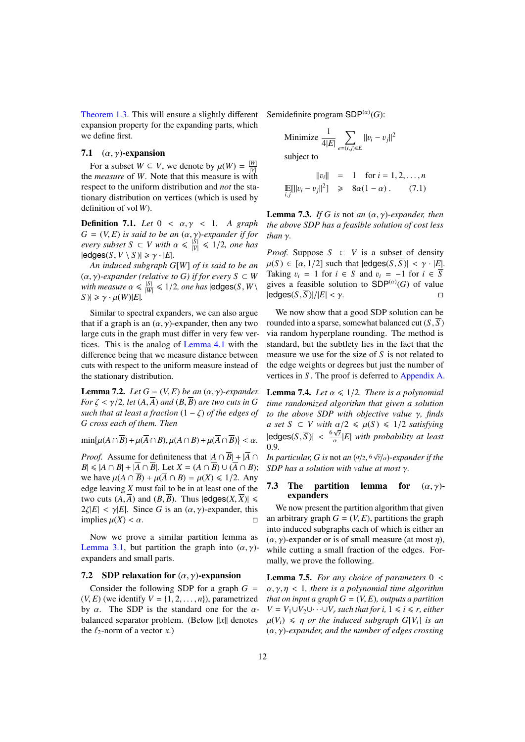[Theorem 1.3.](#page-2-2) This will ensure a slightly different Semidefinite program  $SDP^{(\alpha)}(G)$ : expansion property for the expanding parts, which we define first.

#### 7.1  $(\alpha, \gamma)$ -expansion

For a subset  $W \subseteq V$ , we denote by  $\mu(W) = \frac{|W|}{|V|}$ the *measure* of *W*. Note that this measure is with respect to the uniform distribution and *not* the stationary distribution on vertices (which is used by definition of vol *W*).

Definition 7.1. *Let* <sup>0</sup> < α, γ < <sup>1</sup>*. A graph*  $G = (V, E)$  *is said to be an*  $(\alpha, \gamma)$ *-expander if for*  $\frac{|\mathcal{S}|}{|\mathcal{V}|} \leq 1/2$ *, one has*<br>|addnes(S,  $V \setminus S$ )| >  $\chi_1$ ,  $|F|$  $|$ edges $(S, V \setminus S)| \ge \gamma \cdot |E|$ *.* 

*An induced subgraph G*[*W*] *of is said to be an*  $(\alpha, \gamma)$ -expander (relative to *G*) if for every  $S \subset W$ <br>with measure  $\alpha \leq \frac{|S|}{\gamma} \leq 1/2$ , one has lodones  $S \subset W$ *with measure*  $\alpha \leq \frac{|S|}{|W|} \leq 1/2$ , *one has*  $|\text{edges}(S, W) \leq \alpha \cdot \mu(W)|E|$  $|S| \geq \gamma \cdot \mu(W) |E|.$ 

Similar to spectral expanders, we can also argue that if a graph is an  $(\alpha, \gamma)$ -expander, then any two large cuts in the graph must differ in very few vertices. This is the analog of [Lemma 4.1](#page-6-0) with the difference being that we measure distance between cuts with respect to the uniform measure instead of the stationary distribution.

<span id="page-11-3"></span>**Lemma 7.2.** *Let*  $G = (V, E)$  *be an*  $(\alpha, \gamma)$ *-expander. For*  $\zeta < \gamma/2$ , let  $(A, \overline{A})$  *and*  $(B, \overline{B})$  *are two cuts in* G *such that at least a fraction* (1 <sup>−</sup> ζ) *of the edges of G cross each of them. Then*

 $\min{\{\mu(A \cap \overline{B}) + \mu(\overline{A} \cap B), \mu(A \cap B) + \mu(\overline{A} \cap \overline{B})\}}$ 

*Proof.* Assume for definiteness that  $|A \cap \overline{B}| + |\overline{A} \cap \overline{B}|$ *B*| ≤ |*A* ∩ *B*| + | $\overline{A}$  ∩  $\overline{B}$ |. Let *X* = (*A* ∩  $\overline{B}$ ) ∪ ( $\overline{A}$  ∩ *B*); we have  $\mu(A \cap \overline{B}) + \mu(\overline{A} \cap B) = \mu(X) \leq 1/2$ . Any edge leaving *X* must fail to be in at least one of the two cuts  $(A,\overline{A})$  and  $(B,\overline{B})$ . Thus  $|$ edges $(X,\overline{X})| \le$  $2\zeta|E| < \gamma|E|$ . Since *G* is an  $(\alpha, \gamma)$ -expander, this implies  $\mu(X) < \alpha$ implies  $\mu(X) < \alpha$ .

Now we prove a similar partition lemma as [Lemma 3.1,](#page-5-0) but partition the graph into  $(\alpha, \gamma)$ expanders and small parts.

#### 7.2 SDP relaxation for  $(\alpha, \gamma)$ -expansion

Consider the following SDP for a graph  $G =$  $(V, E)$  (we identify  $V = \{1, 2, \ldots, n\}$ ), parametrized by  $\alpha$ . The SDP is the standard one for the  $\alpha$ balanced separator problem. (Below  $||x||$  denotes the  $\ell_2$ -norm of a vector *x*.)

Minimize 
$$
\frac{1}{4|E|} \sum_{e=(i,j)\in E} ||v_i - v_j||^2
$$
  
subject to

<span id="page-11-5"></span>
$$
||v_i|| = 1 \text{ for } i = 1, 2, ..., n
$$
  
\n
$$
\mathbb{E}[||v_i - v_j||^2] \ge 8\alpha(1 - \alpha). \qquad (7.1)
$$

<span id="page-11-2"></span>**Lemma 7.3.** *If G is* not *an*  $(\alpha, \gamma)$ -expander, then *the above SDP has a feasible solution of cost less than* γ*.*

*Proof.* Suppose  $S \subset V$  is a subset of density  $\mu(S) \in [\alpha, 1/2]$  such that  $|edges(S, S)| < \gamma \cdot |E|$ . Taking  $v_i = 1$  for  $i \in S$  and  $v_i = -1$  for  $i \in \overline{S}$ gives a feasible solution to  $SDP^{(\alpha)}(G)$  of value  $|$ edges $(S, \overline{S})|/|E| < \gamma$ .

We now show that a good SDP solution can be rounded into a sparse, somewhat balanced cut  $(S, \overline{S})$ via random hyperplane rounding. The method is standard, but the subtlety lies in the fact that the measure we use for the size of *S* is not related to the edge weights or degrees but just the number of vertices in *S* . The proof is deferred to [Appendix A.](#page-15-1)

<span id="page-11-1"></span>**Lemma 7.4.** *Let*  $\alpha \leq 1/2$ *. There is a polynomial time randomized algorithm that given a solution to the above SDP with objective value* γ*, finds a set*  $S \subset V$  *with*  $\alpha/2 \leq \mu(S) \leq 1/2$  *satisfying*  $|\text{edges}(S, \overline{S})| < \frac{6\sqrt{\gamma}}{\alpha} |E|$  *with probability at least* 0.9 0.9*.*

*In particular, G is not an*  $(\alpha/2, 6\sqrt{\gamma}/\alpha)$ *-expander if the*<br>SDP has a solution with value at most  $\alpha$ *SDP has a solution with value at most* γ*.*

#### <span id="page-11-4"></span>7.3 The partition lemma for  $(\alpha, \gamma)$ expanders

We now present the partition algorithm that given an arbitrary graph  $G = (V, E)$ , partitions the graph into induced subgraphs each of which is either an  $(\alpha, \gamma)$ -expander or is of small measure (at most  $\eta$ ), while cutting a small fraction of the edges. Formally, we prove the following.

<span id="page-11-0"></span>Lemma 7.5. *For any choice of parameters* <sup>0</sup> < α, γ, η < <sup>1</sup>*, there is a polynomial time algorithm that on input a graph*  $G = (V, E)$ *, outputs a partition V* =  $V_1 \cup V_2 \cup \cdots \cup V_r$  *such that for i,* 1 ≤ *i* ≤ *r, either*  $\mu(V_i) \leq \eta$  *or the induced subgraph*  $G[V_i]$  *is an* (α, γ)*-expander, and the number of edges crossing*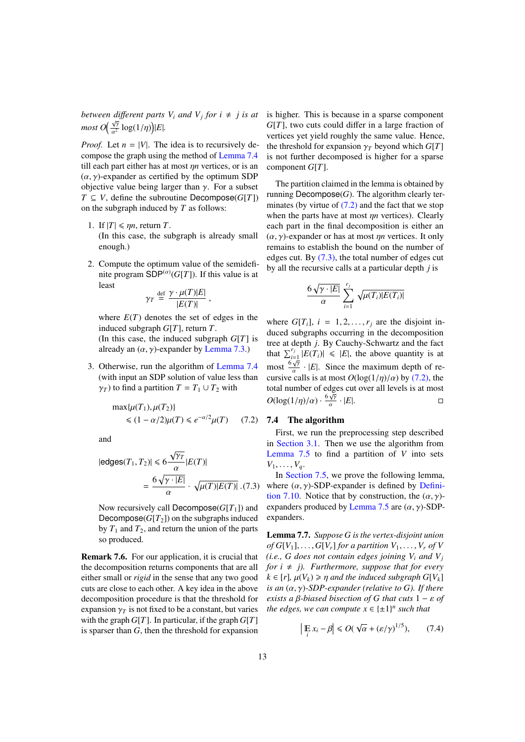*between different parts*  $V_i$  *and*  $V_j$  *for*  $i \neq j$  *is at* is higher. This is because in a sparse component *most*  $O\left(\frac{\sqrt{\gamma}}{\alpha^2} \log(1/\eta)\right) |E|$ .

*Proof.* Let  $n = |V|$ . The idea is to recursively decompose the graph using the method of [Lemma 7.4](#page-11-1) till each part either has at most η*<sup>n</sup>* vertices, or is an  $(\alpha, \gamma)$ -expander as certified by the optimum SDP objective value being larger than  $\gamma$ . For a subset *T* ⊆ *V*, define the subroutine Decompose( $G[T]$ ) on the subgraph induced by *T* as follows:

- 1. If  $|T| \leq \eta n$ , return *T*. (In this case, the subgraph is already small enough.)
- 2. Compute the optimum value of the semidefinite program  $SDP<sup>(\alpha)</sup>(G[T])$ . If this value is at least

$$
\gamma_T \stackrel{\text{def}}{=} \frac{\gamma \cdot \mu(T)|E|}{|E(T)|} \; ,
$$

where  $E(T)$  denotes the set of edges in the induced subgraph *G*[*T*], return *T*.

(In this case, the induced subgraph *G*[*T*] is already an  $(\alpha, \gamma)$ -expander by [Lemma 7.3.](#page-11-2))

3. Otherwise, run the algorithm of [Lemma 7.4](#page-11-1) (with input an SDP solution of value less than  $\gamma_T$ ) to find a partition  $T = T_1 \cup T_2$  with

<span id="page-12-0"></span>
$$
\max{\mu(T_1), \mu(T_2)}
$$
  
\$\le (1 - \alpha/2)\mu(T) \le e^{-\alpha/2}\mu(T) \quad (7.2)\$

and

<span id="page-12-1"></span>
$$
|\text{edges}(T_1, T_2)| \le 6 \frac{\sqrt{\gamma_T}}{\alpha} |E(T)|
$$

$$
= \frac{6\sqrt{\gamma \cdot |E|}}{\alpha} \cdot \sqrt{\mu(T)|E(T)|} . (7.3)
$$

Now recursively call Decompose( $G[T_1]$ ) and Decompose( $G[T_2]$ ) on the subgraphs induced by  $T_1$  and  $T_2$ , and return the union of the parts so produced.

Remark 7.6. For our application, it is crucial that the decomposition returns components that are all either small or *rigid* in the sense that any two good cuts are close to each other. A key idea in the above decomposition procedure is that the threshold for expansion  $\gamma_T$  is not fixed to be a constant, but varies with the graph  $G[T]$ . In particular, if the graph  $G[T]$ is sparser than *G*, then the threshold for expansion

*G*[*T*], two cuts could differ in a large fraction of vertices yet yield roughly the same value. Hence, the threshold for expansion  $\gamma_T$  beyond which  $G[T]$ is not further decomposed is higher for a sparse component *G*[*T*].

The partition claimed in the lemma is obtained by running  $Decompose(G)$ . The algorithm clearly terminates (by virtue of  $(7.2)$  and the fact that we stop when the parts have at most η*<sup>n</sup>* vertices). Clearly each part in the final decomposition is either an  $(\alpha, \gamma)$ -expander or has at most  $\eta n$  vertices. It only remains to establish the bound on the number of edges cut. By [\(7.3\),](#page-12-1) the total number of edges cut by all the recursive calls at a particular depth *j* is

$$
\frac{6\,\sqrt{\gamma\cdot |E|}}{\alpha}\sum_{i=1}^{r_j}\,\sqrt{\mu(T_i)|E(T_i)|}
$$

where  $G[T_i]$ ,  $i = 1, 2, ..., r_j$  are the disjoint induced subgraphs occurring in the decomposition tree at depth *j*. By Cauchy-Schwartz and the fact that  $\sum_{i=1}^{r_j} |E(T_i)| \leq |E|$ , the above quantity is at  $\frac{\Delta_i}{\Delta}$  most  $\frac{6\nu}{\alpha}$  $\frac{\gamma}{\cdot}$  · |*E*|. Since the maximum depth of recursive calls is at most  $O(\log(1/\eta)/\alpha)$  by [\(7.2\),](#page-12-0) the total number of edges cut over all levels is at most total number of edges cut over all levels is at most √  $O(\log(1/\eta)/\alpha) \cdot \frac{6\sqrt{\gamma}}{\alpha} \cdot |E|$ .

#### 7.4 The algorithm

First, we run the preprocessing step described in [Section 3.1.](#page-5-2) Then we use the algorithm from [Lemma 7.5](#page-11-0) to find a partition of *V* into sets  $V_1, \ldots, V_a$ .

In [Section 7.5,](#page-13-0) we prove the following lemma, where  $(\alpha, \gamma)$ -SDP-expander is defined by [Defini](#page-13-1)[tion 7.10.](#page-13-1) Notice that by construction, the  $(\alpha, \gamma)$ -expanders produced by [Lemma 7.5](#page-11-0) are  $(\alpha, \gamma)$ -SDPexpanders.

<span id="page-12-2"></span>Lemma 7.7. *Suppose G is the vertex-disjoint union*  $of$  *G*[ $V_1$ ], ..., *G*[ $V_r$ ] *for a partition*  $V_1, \ldots, V_r$  *of*  $V$ *(i.e.,*  $G$  *does not contain edges joining*  $V_i$  *and*  $V_j$ *for*  $i \neq j$ *). Furthermore, suppose that for every*  $k \in [r]$ ,  $\mu(V_k) \geq \eta$  *and the induced subgraph*  $G[V_k]$ *is an* (α, γ)*-SDP-expander (relative to G). If there exists a* β*-biased bisection of <sup>G</sup> that cuts* <sup>1</sup> <sup>−</sup> ε *of the edges, we can compute*  $x \in \{\pm 1\}^n$  *such that* 

$$
\left|\mathop{\mathbb{E}}_{i} x_{i} - \beta\right| \leq O(\sqrt{\alpha} + (\varepsilon/\gamma)^{1/5}),\qquad(7.4)
$$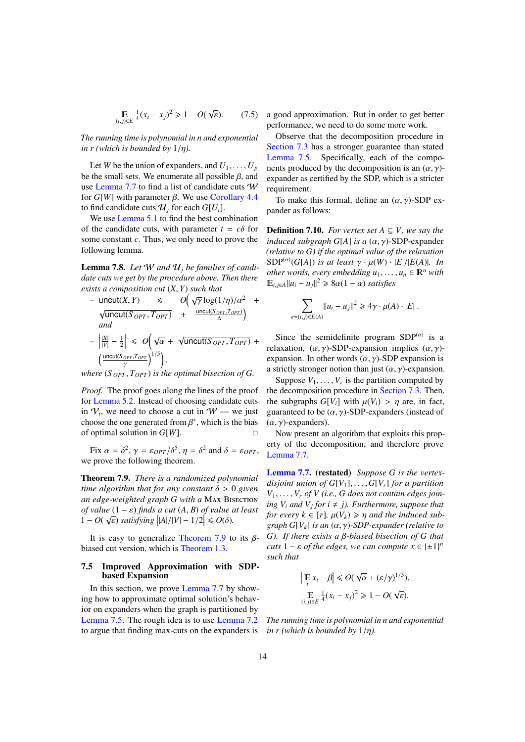$$
\mathbb{E}_{(i,j)\in E} \frac{1}{4}(x_i - x_j)^2 \ge 1 - O(\sqrt{\varepsilon}).
$$
 (7.5)

*The running time is polynomial in n and exponential in r (which is bounded by*  $1/\eta$ ).

Let *W* be the union of expanders, and  $U_1, \ldots, U_p$ be the small sets. We enumerate all possible  $\beta$ , and use [Lemma 7.7](#page-12-2) to find a list of candidate cuts W for *G*[*W*] with parameter  $β$ . We use [Corollary 4.4](#page-8-0) to find candidate cuts  $\mathcal{U}_i$  for each  $G[U_i]$ .

We use [Lemma 5.1](#page-8-1) to find the best combination of the candidate cuts, with parameter  $t = c\delta$  for some constant *c*. Thus, we only need to prove the following lemma.

**Lemma 7.8.** Let W and  $\mathcal{U}_i$  be families of candi*date cuts we get by the procedure above. Then there exists a composition cut*  $(X, Y)$  *such that*<br>  $\rightarrow$  uncut $(X, Y) \leq O(\sqrt{y} \log(1))$ 

$$
- \text{uncut}(X, Y) \leq O\left(\sqrt{\gamma} \log(1/\eta)/\alpha^2 + \sqrt{\text{uncut}(S_{OPT}, T_{OPT})} + \frac{\text{uncut}(S_{OPT}, T_{OPT})}{\Delta}\right)
$$
  
\nand  
\n
$$
- \left|\frac{|X|}{|V|} - \frac{1}{2}\right| \leq O\left(\sqrt{\alpha} + \sqrt{\text{uncut}(S_{OPT}, T_{OPT})} + \frac{\text{uncut}(S_{OPT}, T_{OPT})}{\Delta}\right)
$$

γ *where* (*<sup>S</sup> OPT* , *<sup>T</sup>OPT* ) *is the optimal bisection of G.*

*Proof.* The proof goes along the lines of the proof for [Lemma 5.2.](#page-8-3) Instead of choosing candidate cuts in  $V_i$ , we need to choose a cut in  $W$  — we just choose the one generated from  $\beta^*$ , which is the bias<br>of optimal solution in  $G[W]$ of optimal solution in *G*[*W*].

Fix  $\alpha = \delta^2$ ,  $\gamma = \varepsilon_{OPT}/\delta^5$ ,  $\eta = \delta^2$  and  $\delta = \varepsilon_{OPT}$ , we prove the following theorem.

<span id="page-13-2"></span>Theorem 7.9. *There is a randomized polynomial time algorithm that for any constant* δ > <sup>0</sup> *given an edge-weighted graph G with a* Max Bisection *of value* (1 − *ε*) *finds a cut* (*A, B) of value at least*  $1 - O(\sqrt{\epsilon})$  *satisfying*  $|A|/|V| - 1/2| < O(\delta)$  $1 - O(\sqrt{\varepsilon})$  *satisfying*  $||A|/|V| - 1/2$  ≤  $O(\delta)$ *.* 

It is easy to generalize [Theorem 7.9](#page-13-2) to its  $\beta$ biased cut version, which is [Theorem 1.3.](#page-2-2)

#### <span id="page-13-0"></span>7.5 Improved Approximation with SDPbased Expansion

In this section, we prove [Lemma 7.7](#page-12-2) by showing how to approximate optimal solution's behavior on expanders when the graph is partitioned by [Lemma 7.5.](#page-11-0) The rough idea is to use [Lemma 7.2](#page-11-3) to argue that finding max-cuts on the expanders is

a good approximation. But in order to get better performance, we need to do some more work.

Observe that the decomposition procedure in [Section 7.3](#page-11-4) has a stronger guarantee than stated [Lemma 7.5.](#page-11-0) Specifically, each of the components produced by the decomposition is an  $(\alpha, \gamma)$ expander as certified by the SDP, which is a stricter requirement.

To make this formal, define an  $(\alpha, \gamma)$ -SDP expander as follows:

<span id="page-13-1"></span>**Definition 7.10.** *For vertex set*  $A \subseteq V$ *, we say the induced subgraph <sup>G</sup>*[*A*] *is a* (α, γ)-SDP-expander *(relative to G) if the optimal value of the relaxation*  $SDP^{(\alpha)}(G[A])$  *is at least*  $\gamma \cdot \mu(W) \cdot |E|/|E(A)|$ *. In*<br>other words, every embedding  $\mu$ ,  $\mu \in \mathbb{R}^n$  with *other words, every embedding*  $u_1, \ldots, u_n \in \mathbb{R}^n$  *with*  $\mathbb{E}_{i,j\in A}||u_i - u_j||^2 \geq 8\alpha(1-\alpha)$  *satisfies* 

$$
\sum_{e=(i,j)\in E(A)} ||u_i - u_j||^2 \ge 4\gamma \cdot \mu(A) \cdot |E|.
$$

Since the semidefinite program  $SDP<sup>(\alpha)</sup>$  is a relaxation,  $(\alpha, \gamma)$ -SDP-expansion implies  $(\alpha, \gamma)$ expansion. In other words  $(\alpha, \gamma)$ -SDP expansion is a strictly stronger notion than just  $(\alpha, \gamma)$ -expansion.

Suppose  $V_1, \ldots, V_r$  is the partition computed by<br>edecomposition procedure in Section 7.3. Then the decomposition procedure in [Section 7.3.](#page-11-4) Then, the subgraphs  $G[V_i]$  with  $\mu(V_i) > \eta$  are, in fact, guaranteed to be  $(\alpha, \gamma)$ -SDP-expanders (instead of  $(\alpha, \gamma)$ -expanders).

Now present an algorithm that exploits this property of the decomposition, and therefore prove [Lemma 7.7.](#page-12-2)

[Lemma 7.7.](#page-12-2) (restated) *Suppose G is the vertexdisjoint union of*  $G[V_1], \ldots, G[V_r]$  *for a partition*  $V_1, \ldots, V_r$  *of V* (*i.e., G does not contain edges joining*  $V_i$  *and*  $V_j$  *for*  $i \neq j$ *). Furthermore, suppose that for every*  $k \in [r]$ ,  $\mu(V_k) \geq \eta$  *and the induced subgraph <sup>G</sup>*[*Vk*] *is an* (α, γ)*-SDP-expander (relative to G). If there exists a* β*-biased bisection of <sup>G</sup> that cuts*  $1 - \varepsilon$  *of the edges, we can compute*  $x \in \{\pm 1\}^n$ *such that*

$$
\left| \mathop{\mathbb{E}}_{i} x_{i} - \beta \right| \le O(\sqrt{\alpha} + (\varepsilon/\gamma)^{1/5}),
$$
  

$$
\mathop{\mathbb{E}}_{(i,j)\in E} \frac{1}{4}(x_{i} - x_{j})^{2} \ge 1 - O(\sqrt{\varepsilon}).
$$

*The running time is polynomial in n and exponential in r (which is bounded by* <sup>1</sup>/η*).*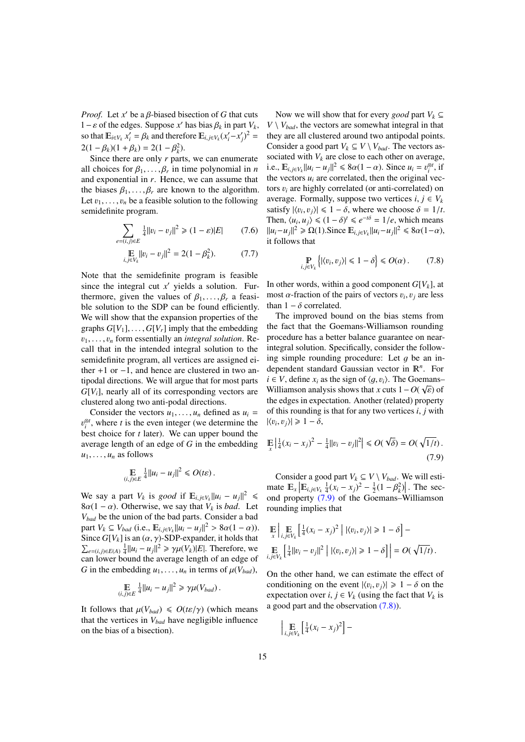*Proof.* Let *x'* be a  $\beta$ -biased bisection of *G* that cuts  $1 - \varepsilon$  of the edges. Suppose *x'* has bias  $\beta$ , in part *V*<sub>c</sub> 1−ε of the edges. Suppose *x'* has bias  $\beta_k$  in part  $V_k$ ,<br>so that  $\mathbb{F}_{\{x:Y\}}$   $x' = \beta_k$  and therefore  $\mathbb{F}_{\{x:Y\}}$   $(x'-x')^2$  – so that  $\mathbb{E}_{i \in V_k} x_i' = \beta_k$  and therefore  $\mathbb{E}_{i,j \in V_k} (x_i' - x_j')^2 =$ <br>2(1,  $\beta \ge 1 - 2(1 - \beta^2)$  $2(1 - \beta_k)(1 + \beta_k) = 2(1 - \beta_k^2)$ .<br>Since there are only r part

Since there are only *r* parts, we can enumerate all choices for  $\beta_1, \ldots, \beta_r$  in time polynomial in *n*<br>and exponential in *r*. Hence, we can assume that and exponential in *r*. Hence, we can assume that the biases  $\beta_1, \ldots, \beta_r$  are known to the algorithm. Let  $v_1, \ldots, v_n$  be a feasible solution to the following semidefinite program.

$$
\sum_{e=(i,j)\in E} \frac{1}{4} ||v_i - v_j||^2 \ge (1 - \varepsilon)|E| \qquad (7.6)
$$

$$
\mathbb{E}_{i,j \in V_k} ||v_i - v_j||^2 = 2(1 - \beta_k^2). \tag{7.7}
$$

Note that the semidefinite program is feasible since the integral cut  $x'$  yields a solution. Furthermore, given the values of  $\beta_1, \ldots, \beta_r$  a feasible solution to the SDP can be found efficiently. We will show that the expansion properties of the graphs  $G[V_1], \ldots, G[V_r]$  imply that the embedding  $v_1, \ldots, v_n$  form essentially an *integral solution*. Recall that in the intended integral solution to the semidefinite program, all vertices are assigned either +1 or −1, and hence are clustered in two antipodal directions. We will argue that for most parts *G*[*Vi*], nearly all of its corresponding vectors are clustered along two anti-podal directions.

Consider the vectors  $u_1, \ldots, u_n$  defined as  $u_i$  = best choice for  $t$  later). We can upper bound the  $\mathcal{E}_i^{\otimes t}$ , where *t* is the even integer (we determine the average length of an edge of *G* in the embedding  $u_1, \ldots, u_n$  as follows

$$
\mathop{\mathbb{E}}_{(i,j)\in E} \tfrac{1}{4} ||u_i - u_j||^2 \le O(t\varepsilon).
$$

We say a part  $V_k$  is *good* if  $\mathbb{E}_{i,j \in V_k} ||u_i - u_j||^2 \le$ <br>2.6(1, c) Otherwise we say that *V* is had Let  $8\alpha(1-\alpha)$ . Otherwise, we say that  $V_k$  is *bad*. Let *Vbad* be the union of the bad parts. Consider a bad part  $V_k \subseteq V_{bad}$  (i.e.,  $\mathbb{E}_{i,j \in V_k} ||u_i - u_j||^2 > 8\alpha(1 - \alpha)$ ).<br>Since  $G[V_k]$  is an  $(\alpha, \alpha)$ -SDP-expander, it holds that Since  $G[V_k]$  is an  $(\alpha, \gamma)$ -SDP-expander, it holds that  $\sum_{e=(i,j)\in E(A)} \frac{1}{4} ||u_i - u_j||^2 \ge \gamma \mu(V_k) |E|$ . Therefore, we can lower bound the average length of an edge of can lower bound the average length of an edge of *G* in the embedding  $u_1, \ldots, u_n$  in terms of  $\mu(V_{bad})$ ,

$$
\mathop{\mathbb{E}}_{(i,j)\in E} \frac{1}{4} ||u_i - u_j||^2 \geq \gamma \mu(V_{bad}).
$$

It follows that  $\mu(V_{bad}) \le O(t\varepsilon/\gamma)$  (which means that the vertices in *Vbad* have negligible influence on the bias of a bisection).

Now we will show that for every *good* part  $V_k \subseteq$  $V \setminus V_{bad}$ , the vectors are somewhat integral in that they are all clustered around two antipodal points. Consider a good part  $V_k \subseteq V \setminus V_{bad}$ . The vectors associated with  $V_k$  are close to each other on average, i.e.,  $\mathbb{E}_{i,j \in V_k} ||u_i - u_j||^2 \le 8\alpha(1 - \alpha)$ . Since  $u_i = v_i^{\otimes t}$ , if the vectors  $u_i$  are correlated then the original vectors the vectors  $u_i$  are correlated, then the original vectors <sup>v</sup>*<sup>i</sup>* are highly correlated (or anti-correlated) on average. Formally, suppose two vertices  $i, j \in V_k$ satisfy  $|\langle v_i, v_j \rangle| \leq 1 - \delta$ , where we choose  $\delta = 1/t$ .<br>Then  $\langle u, u_j \rangle \leq (1 - \delta)^t \leq e^{-t\delta} - 1/e$  which means Then,  $\langle u_i, u_j \rangle \leq (1 - \delta)^t \leq e^{-t\delta} = 1/e$ , which means<br> $||u_i - u_i||^2 > O(1)$  Since  $\mathbb{F}_{i \to \infty} ||u_i - u_i||^2 \leq 8\alpha(1 - \alpha)$  $||u_i - u_j||^2 \ge \Omega(1)$ . Since  $\mathbb{E}_{i,j \in V_k} ||u_i - u_j||^2 \le 8\alpha(1-\alpha)$ , it follows that it follows that

<span id="page-14-1"></span>
$$
\mathbb{P}_{i,j\in V_k}\left\{|\langle v_i, v_j\rangle| \leq 1-\delta\right\} \leq O(\alpha). \tag{7.8}
$$

In other words, within a good component  $G[V_k]$ , at most  $\alpha$ -fraction of the pairs of vectors  $v_i$ ,  $v_j$  are less than  $1 - \delta$  correlated than  $1 - \delta$  correlated.

The improved bound on the bias stems from the fact that the Goemans-Williamson rounding procedure has a better balance guarantee on nearintegral solution. Specifically, consider the following simple rounding procedure: Let  $q$  be an independent standard Gaussian vector in  $\mathbb{R}^n$ . For *i* ∈ *V*, define  $x_i$  as the sign of  $\langle g, v_i \rangle$ . The Goemans–<br>Williamson analysis shows that *x* cuts  $1 - Q(\sqrt{s})$  of Williamson analysis shows that *x* cuts  $1 - O(\sqrt{\varepsilon})$  of<br>the edges in expectation. Another (related) property the edges in expectation. Another (related) property of this rounding is that for any two vertices *<sup>i</sup>*, *<sup>j</sup>* with  $|\langle v_i, v_j \rangle| \geq 1 - \delta,$ 

<span id="page-14-0"></span>
$$
\mathbb{E}\left|\frac{1}{4}(x_i - x_j)^2 - \frac{1}{4}||v_i - v_j||^2\right| \le O(\sqrt{\delta}) = O(\sqrt{1/t}).
$$
\n(7.9)

Consider a good part  $V_k \subseteq V \setminus V_{bad}$ . We will estimate  $\mathbb{E}_x \left| \mathbb{E}_{i,j \in V_k} \frac{1}{4} (x_i - x_j)^2 - \frac{1}{2} (1 - \beta_k^2) \right|$ . The sec-<br>and property (7.9) of the Goemans–Williamson ond property [\(7.9\)](#page-14-0) of the Goemans–Williamson rounding implies that

$$
\mathop{\mathbb{E}}_{x} \Big| \mathop{\mathbb{E}}_{i,j \in V_k} \Big[ \frac{1}{4} (x_i - x_j)^2 \Big| |\langle v_i, v_j \rangle| \ge 1 - \delta \Big] -
$$
  

$$
\mathop{\mathbb{E}}_{i,j \in V_k} \Big[ \frac{1}{4} ||v_i - v_j||^2 \Big| |\langle v_i, v_j \rangle| \ge 1 - \delta \Big] \Big| = O(\sqrt{1/t}).
$$

On the other hand, we can estimate the effect of conditioning on the event  $|\langle v_i, v_j \rangle| \ge 1 - \delta$  on the expectation over  $i, i \in V$ , (using the fact that  $V_i$  is expectation over *i*,  $j \in V_k$  (using the fact that  $V_k$  is a good part and the observation [\(7.8\)\)](#page-14-1).

$$
\Big| \underset{i,j \in V_k}{\mathbb{E}} \Big[ \tfrac{1}{4} (x_i - x_j)^2 \Big] -
$$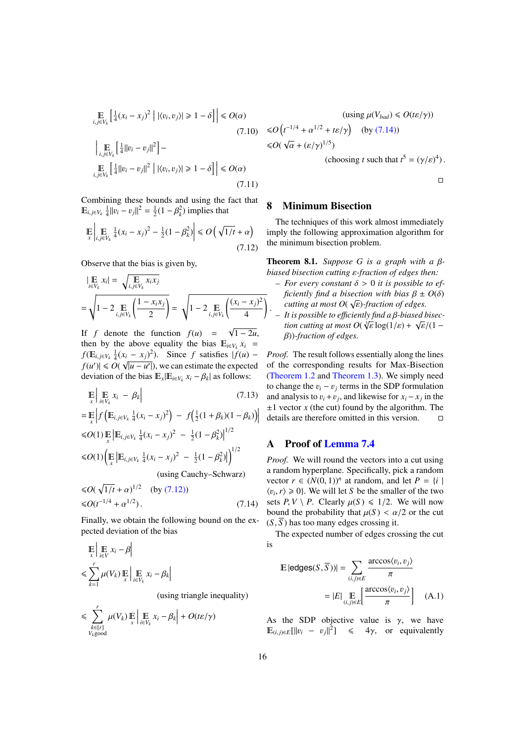$$
\mathbb{E}_{i,j \in V_k} \left[ \frac{1}{4} (x_i - x_j)^2 \middle| |\langle v_i, v_j \rangle| \ge 1 - \delta \right] \middle| \le O(\alpha)
$$
\n
$$
\left| \mathbb{E}_{i,j \in V_k} \left[ \frac{1}{4} ||v_i - v_j||^2 \right] - \mathbb{E}_{i,j \in V_k} \left[ \frac{1}{4} ||v_i - v_j||^2 \middle| |\langle v_i, v_j \rangle| \ge 1 - \delta \right] \right| \le O(\alpha)
$$
\n(7.11)

Combining these bounds and using the fact that  $\mathbb{E}_{i, j \in V_k} \frac{1}{4} ||v_i - v_j||^2 = \frac{1}{2} (1 - \beta_k^2)$  implies that

$$
\mathbb{E}\left|\mathbb{E}\left|\mathbb{E}\limits_{i,j\in V_k}\frac{1}{4}(x_i-x_j)^2-\frac{1}{2}(1-\beta_k^2)\right|\leq O\left(\sqrt{1/t}+\alpha\right)\right|
$$
\n(7.12)

Observe that the bias is given by,

$$
\begin{aligned} & \left| \mathop{\mathbb{E}}_{i \in V_k} x_i \right| = \sqrt{\mathop{\mathbb{E}}_{i,j \in V_k} x_i x_j} \\ &= \sqrt{1 - 2 \mathop{\mathbb{E}}_{i,j \in V_k} \left( \frac{1 - x_i x_j}{2} \right)} = \sqrt{1 - 2 \mathop{\mathbb{E}}_{i,j \in V_k} \left( \frac{(x_i - x_j)^2}{4} \right)} \end{aligned}
$$

If  $f$  denote the function  $f(u)$  = 1 − 2*u*, then by the above equality the bias  $E_{i \in V_k} x_i$  =  $f(E_{i,j \in V_k} \frac{1}{4}(x_i - x_j)^2)$ . Since *f* satisfies  $|f(u) - f(x_j)| \leq \frac{f(x_j - x_j)^2}{2}$ .  $f(u') \le O(\sqrt{|u - u'|})$ , we can estimate the expected deviation of the bias  $\mathbb{E}_x|\mathbb{E}_{i\in V_k} x_i - \beta_k|$  as follows:

$$
\mathbb{E}\left|\mathbb{E}_{x}\mathbb{E}_{k}x_{i}-\beta_{k}\right|
$$
\n(7.13)  
\n
$$
=\mathbb{E}\left|f\left(\mathbb{E}_{i,j\in V_{k}}\frac{1}{4}(x_{i}-x_{j})^{2}\right)-f\left(\frac{1}{2}(1+\beta_{k})(1-\beta_{k})\right)\right|
$$
\n
$$
\leq O(1)\mathbb{E}\left|\mathbb{E}_{i,j\in V_{k}}\frac{1}{4}(x_{i}-x_{j})^{2}-\frac{1}{2}(1-\beta_{k}^{2})\right|^{1/2}
$$

$$
\leq O(1) \left( \mathbb{E} \left| \mathbb{E}_{i,j \in V_k} \frac{1}{4} (x_i - x_j)^2 - \frac{1}{2} (1 - \beta_k^2) \right| \right)^{1/2}
$$
\n(using Cauchy–Schwarz)

$$
\leq O(\sqrt{1/t} + \alpha)^{1/2} \quad \text{(by (7.12))}
$$
  

$$
\leq O(t^{-1/4} + \alpha^{1/2}). \tag{7.14}
$$

Finally, we obtain the following bound on the expected deviation of the bias

$$
\mathbb{E}\left|\mathop{\mathbb{E}}_{x}\right| \mathop{\mathbb{E}}_{i \in V} x_{i} - \beta\right|
$$
\n
$$
\leq \sum_{k=1}^{r} \mu(V_{k}) \mathop{\mathbb{E}}_{x} \left|\mathop{\mathbb{E}}_{i \in V_{k}} x_{i} - \beta_{k}\right|
$$
\n(using triangle inequality)

$$
\leq \sum_{\substack{k \in [r] \\ V_k \text{good}}}^r \mu(V_k) \mathop{\mathbb{E}}_{x} \left| \mathop{\mathbb{E}}_{i \in V_k} x_i - \beta_k \right| + O(t\varepsilon/\gamma)
$$

$$
(\text{using } \mu(V_{bad}) \le O(t\varepsilon/\gamma))
$$
  
\n
$$
\le O\left(t^{-1/4} + \alpha^{1/2} + t\varepsilon/\gamma\right) \quad \text{(by (7.14))}
$$
  
\n
$$
\le O(\sqrt{\alpha} + (\varepsilon/\gamma)^{1/5})
$$
  
\n
$$
\text{(choosing } t \text{ such that } t^5 = (\gamma/\varepsilon)^4).
$$

 $\Box$ 

#### <span id="page-15-0"></span>8 Minimum Bisection

<span id="page-15-2"></span>The techniques of this work almost immediately imply the following approximation algorithm for the minimum bisection problem.

Theorem 8.1. *Suppose <sup>G</sup> is a graph with a* <sup>β</sup>*biased bisection cutting* ε*-fraction of edges then:*

- $-$  *For every constant*  $\delta > 0$  *it is possible to efficiently find a bisection with bias*  $β ± O(δ)$ <br>*cutting at most*  $Q(√s)$ -*fraction of edges cutting at most*  $O(\sqrt{\varepsilon})$ *-fraction of edges.*<br>It is possible to efficiently find a *R*-biased i
- *– It is possible to e*ffi*ciently find a* β*-biased bisec-*√ *ti*on cutting at most *O*( ∛ε log(1/ε) + √ε/(1 −<br>*R*))-fraction of edges β))*-fraction of edges.*

*Proof.* The result follows essentially along the lines of the corresponding results for Max-Bisection [\(Theorem 1.2](#page-2-3) and [Theorem 1.3\)](#page-2-2). We simply need to change the  $v_i - v_j$  terms in the SDP formulation<br>and analysis to  $v_i + v_j$  and likewise for  $x_i - x_j$  in the and analysis to  $v_i + v_j$ , and likewise for  $x_i - x_j$  in the +1 vector *x* (the cut) found by the algorithm. The  $\pm 1$  vector *x* (the cut) found by the algorithm. The details are therefore omitted in this version.

# <span id="page-15-1"></span>A Proof of [Lemma 7.4](#page-11-1)

*Proof.* We will round the vectors into a cut using a random hyperplane. Specifically, pick a random vector  $r \in (N(0, 1))^n$  at random, and let  $P = \{i \mid n \le r \} > 0$ . We will let *S* be the smaller of the two  $\langle v_i, r \rangle \ge 0$ . We will let *S* be the smaller of the two sets *P V*  $\setminus$  *P* Clearly  $u(S) \le 1/2$ . We will now sets  $P, V \setminus P$ . Clearly  $\mu(S) \leq 1/2$ . We will now bound the probability that  $\mu(S) < \alpha/2$  or the cut (*S*, *<sup>S</sup>* ) has too many edges crossing it.

<span id="page-15-3"></span>The expected number of edges crossing the cut is

$$
\mathbb{E} |\text{edges}(S, \overline{S}))| = \sum_{(i,j)\in E} \frac{\text{arccos}\langle v_i, v_j \rangle}{\pi}
$$

$$
= |E| \mathbb{E} \left[ \frac{\text{arccos}\langle v_i, v_j \rangle}{\pi} \right] \quad (A.1)
$$

As the SDP objective value is  $\gamma$ , we have  $\mathbb{E}_{(i,j)\in E}[\Vert v_i - v_j \Vert^2] \leq 4\gamma$ , or equivalently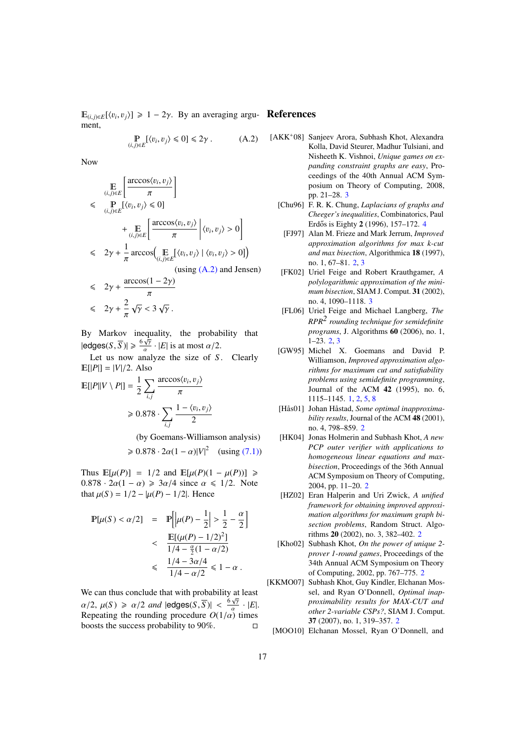$\mathbb{E}_{(i,j)\in E}[\langle v_i, v_j \rangle] \ge 1 - 2\gamma$ . By an averaging argu- **References** ment,

<span id="page-16-12"></span>
$$
\mathop{\mathbb{P}}_{(i,j)\in E}[\langle v_i, v_j \rangle \leq 0] \leq 2\gamma . \tag{A.2}
$$

Now

$$
\begin{aligned}\n&\mathbb{E}\left[\frac{\arccos\langle v_i, v_j\rangle}{\pi}\right] \\
&\leq \mathbb{P}\left[\langle v_i, v_j\rangle \leq 0\right] \\
&\quad + \mathbb{E}\left[\frac{\arccos\langle v_i, v_j\rangle}{\pi}\right] \langle v_i, v_j\rangle > 0 \\
&\leq 2\gamma + \frac{1}{\pi}\arccos\left(\mathbb{E}\left[\langle v_i, v_j\rangle \mid \langle v_i, v_j\rangle > 0\right]\right) \\
&\leq 2\gamma + \frac{1}{\pi}\arccos\left(\mathbb{E}\left[\langle v_i, v_j\rangle \mid \langle v_i, v_j\rangle > 0\right]\right) \\
&\quad\text{(using (A.2) and Jensen)}\n\end{aligned}
$$

$$
\leq 2\gamma + \frac{\arccos(1 - 2\gamma)}{\pi}
$$

$$
\leq 2\gamma + \frac{2}{\pi}\sqrt{\gamma} < 3\sqrt{\gamma}.
$$

By Markov inequality, the probability that  $|\text{edges}(S, \overline{S})| \geq \frac{6\sqrt{N}}{\alpha}$  $\frac{\gamma}{\epsilon}$  · |*E*| is at most  $\alpha/2$ .

Let us now analyze the size of *S*. Clearly  $E[|P|] = |V|/2$ . Also

$$
\mathbb{E}[|P||V \setminus P|] = \frac{1}{2} \sum_{i,j} \frac{\arccos \langle v_i, v_j \rangle}{\pi}
$$

$$
\geq 0.878 \cdot \sum_{i,j} \frac{1 - \langle v_i, v_j \rangle}{2}
$$

<span id="page-16-0"></span>(by Goemans-Williamson analysis)

$$
\geqslant 0.878 \cdot 2\alpha (1-\alpha)|V|^2 \quad \text{(using (7.1))}
$$

Thus  $\mathbb{E}[\mu(P)] = 1/2$  and  $\mathbb{E}[\mu(P)(1 - \mu(P))] \geq$  $0.878 \cdot 2\alpha(1-\alpha) \geq 3\alpha/4$  since  $\alpha \leq 1/2$ . Note that  $\mu(S) = 1/2 - |\mu(P) - 1/2|$ . Hence

$$
\mathbb{P}[\mu(S) < \alpha/2] = \mathbb{P}\left[\left|\mu(P) - \frac{1}{2}\right| > \frac{1}{2} - \frac{\alpha}{2}\right] \\
&< \frac{\mathbb{E}[(\mu(P) - 1/2)^2]}{1/4 - \frac{\alpha}{2}(1 - \alpha/2)} \\
&< \frac{1/4 - 3\alpha/4}{1/4 - \alpha/2} \leq 1 - \alpha.
$$

We can thus conclude that with probability at least  $\alpha/2$ ,  $\mu(S) \ge \alpha/2$  *and*  $|\text{edges}(S, \overline{S})| < \frac{6\gamma}{\alpha}$ <br>Repeating the rounding procedure  $O(1/\alpha)$  $\frac{\gamma}{\cdot}$   $|E|.$ Repeating the rounding procedure  $O(1/\alpha)$  times<br>hoosts the success probability to 90% boosts the success probability to  $90\%$ .

- <span id="page-16-11"></span><span id="page-16-10"></span><span id="page-16-9"></span><span id="page-16-6"></span><span id="page-16-5"></span>[AKK<sup>+</sup>08] Sanjeev Arora, Subhash Khot, Alexandra Kolla, David Steurer, Madhur Tulsiani, and Nisheeth K. Vishnoi, *Unique games on expanding constraint graphs are easy*, Proceedings of the 40th Annual ACM Symposium on Theory of Computing, 2008, pp. 21–28. [3](#page-2-4)
	- [Chu96] F. R. K. Chung, *Laplacians of graphs and Cheeger's inequalities*, Combinatorics, Paul Erdős is Eighty 2 (1996), 157-172. [4](#page-3-1)
	- [FJ97] Alan M. Frieze and Mark Jerrum, *Improved approximation algorithms for max k-cut and max bisection*, Algorithmica 18 (1997), no. 1, 67–81. [2,](#page-1-1) [3](#page-2-4)
	- [FK02] Uriel Feige and Robert Krauthgamer, *A polylogarithmic approximation of the minimum bisection*, SIAM J. Comput. 31 (2002), no. 4, 1090–1118. [3](#page-2-4)
	- [FL06] Uriel Feige and Michael Langberg, *The RPR2 rounding technique for semidefinite programs*, J. Algorithms 60 (2006), no. 1, 1–23. [2,](#page-1-1) [3](#page-2-4)
	- [GW95] Michel X. Goemans and David P. Williamson, *Improved approximation algorithms for maximum cut and satisfiability problems using semidefinite programming*, Journal of the ACM 42 (1995), no. 6, 1115–1145. [1,](#page-0-0) [2,](#page-1-1) [5,](#page-4-0) [8](#page-7-2)
	- [Hås01] Johan Håstad, *Some optimal inapproximability results*, Journal of the ACM 48 (2001), no. 4, 798–859. [2](#page-1-1)
	- [HK04] Jonas Holmerin and Subhash Khot, *A new PCP outer verifier with applications to homogeneous linear equations and maxbisection*, Proceedings of the 36th Annual ACM Symposium on Theory of Computing, 2004, pp. 11–20. [2](#page-1-1)
	- [HZ02] Eran Halperin and Uri Zwick, *A unified framework for obtaining improved approximation algorithms for maximum graph bisection problems*, Random Struct. Algorithms 20 (2002), no. 3, 382–402. [2](#page-1-1)
- <span id="page-16-8"></span><span id="page-16-7"></span><span id="page-16-2"></span><span id="page-16-1"></span>[Kho02] Subhash Khot, *On the power of unique 2 prover 1-round games*, Proceedings of the 34th Annual ACM Symposium on Theory of Computing, 2002, pp. 767–775. [2](#page-1-1)
- <span id="page-16-4"></span><span id="page-16-3"></span>[KKMO07] Subhash Khot, Guy Kindler, Elchanan Mossel, and Ryan O'Donnell, *Optimal inapproximability results for MAX-CUT and other 2-variable CSPs?*, SIAM J. Comput. 37 (2007), no. 1, 319–357. [2](#page-1-1)
	- [MOO10] Elchanan Mossel, Ryan O'Donnell, and